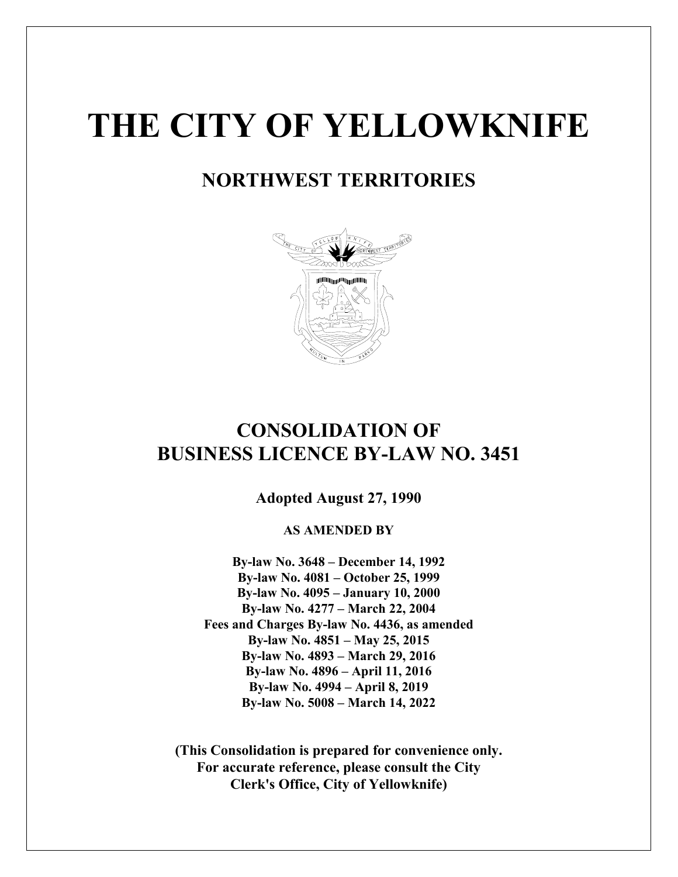# **THE CITY OF YELLOWKNIFE**

### **NORTHWEST TERRITORIES**



### **CONSOLIDATION OF BUSINESS LICENCE BY-LAW NO. 3451**

**Adopted August 27, 1990**

**AS AMENDED BY**

**By-law No. 3648 – December 14, 1992 By-law No. 4081 – October 25, 1999 By-law No. 4095 – January 10, 2000 By-law No. 4277 – March 22, 2004 Fees and Charges By-law No. 4436, as amended By-law No. 4851 – May 25, 2015 By-law No. 4893 – March 29, 2016 By-law No. 4896 – April 11, 2016 By-law No. 4994 – April 8, 2019 By-law No. 5008 – March 14, 2022**

**(This Consolidation is prepared for convenience only. For accurate reference, please consult the City Clerk's Office, City of Yellowknife)**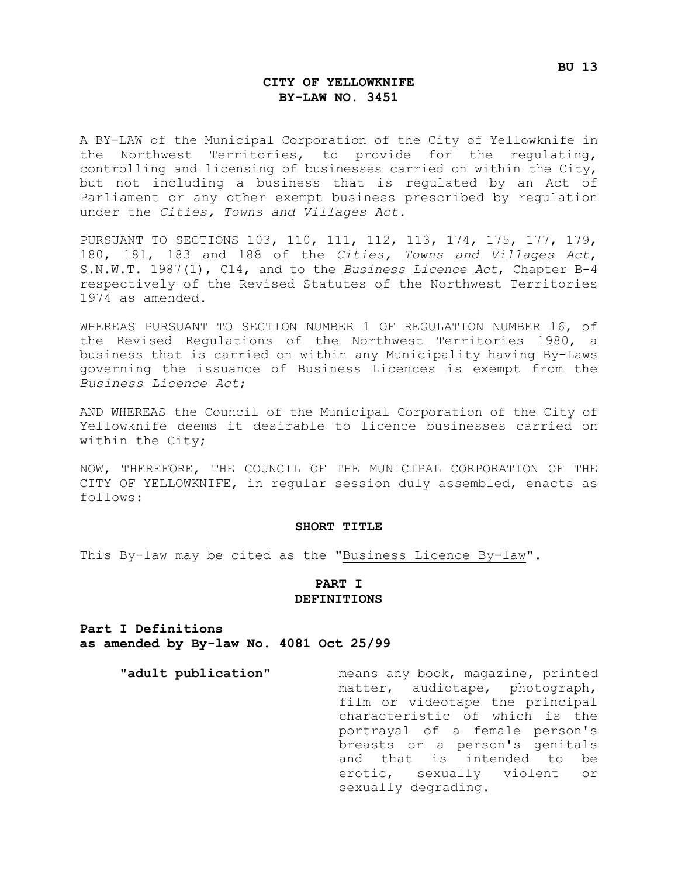#### **CITY OF YELLOWKNIFE BY-LAW NO. 3451**

A BY-LAW of the Municipal Corporation of the City of Yellowknife in the Northwest Territories, to provide for the regulating, controlling and licensing of businesses carried on within the City, but not including a business that is regulated by an Act of Parliament or any other exempt business prescribed by regulation under the *Cities, Towns and Villages Act*.

PURSUANT TO SECTIONS 103, 110, 111, 112, 113, 174, 175, 177, 179, 180, 181, 183 and 188 of the *Cities, Towns and Villages Act*, S.N.W.T. 1987(1), C14, and to the *Business Licence Act*, Chapter B-4 respectively of the Revised Statutes of the Northwest Territories 1974 as amended.

WHEREAS PURSUANT TO SECTION NUMBER 1 OF REGULATION NUMBER 16, of the Revised Regulations of the Northwest Territories 1980, a business that is carried on within any Municipality having By-Laws governing the issuance of Business Licences is exempt from the *Business Licence Act*;

AND WHEREAS the Council of the Municipal Corporation of the City of Yellowknife deems it desirable to licence businesses carried on within the City;

NOW, THEREFORE, THE COUNCIL OF THE MUNICIPAL CORPORATION OF THE CITY OF YELLOWKNIFE, in regular session duly assembled, enacts as follows:

#### **SHORT TITLE**

This By-law may be cited as the "Business Licence By-law".

#### **PART I DEFINITIONS**

**Part I Definitions as amended by By-law No. 4081 Oct 25/99**

**"adult publication"** means any book, magazine, printed matter, audiotape, photograph, film or videotape the principal characteristic of which is the portrayal of a female person's breasts or a person's genitals and that is intended to be erotic, sexually violent or sexually degrading.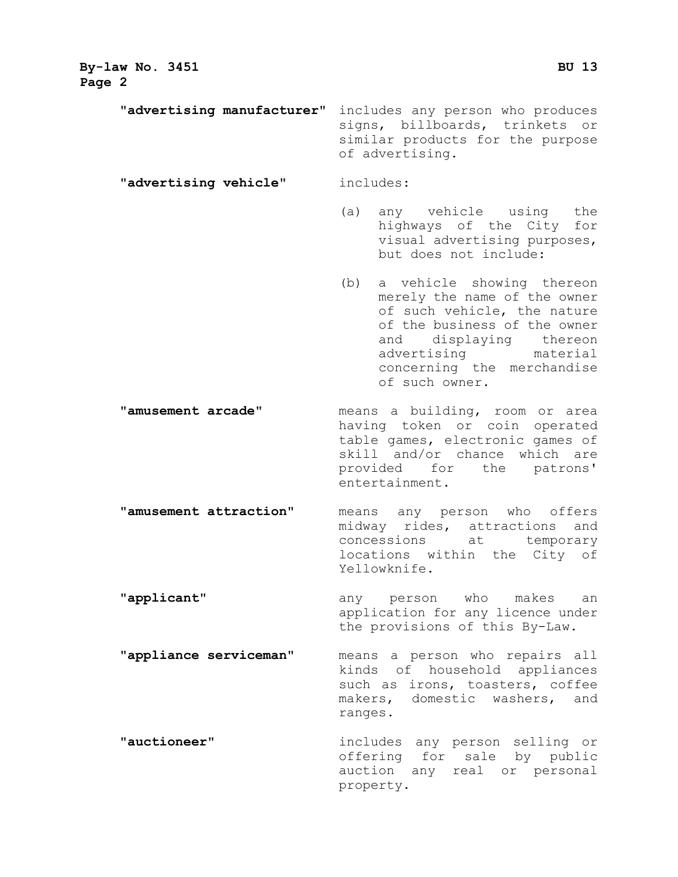| By-law No. 3451<br>Page 2  | BU 13                                                                                                                                                                                                                             |  |
|----------------------------|-----------------------------------------------------------------------------------------------------------------------------------------------------------------------------------------------------------------------------------|--|
| "advertising manufacturer" | includes any person who produces<br>signs, billboards, trinkets or<br>similar products for the purpose<br>of advertising.                                                                                                         |  |
| "advertising vehicle"      | includes:                                                                                                                                                                                                                         |  |
|                            | (a)<br>any vehicle using the<br>highways of the City for<br>visual advertising purposes,<br>but does not include:                                                                                                                 |  |
|                            | (b)<br>a vehicle showing thereon<br>merely the name of the owner<br>of such vehicle, the nature<br>of the business of the owner<br>and displaying thereon<br>advertising material<br>concerning the merchandise<br>of such owner. |  |
| "amusement arcade"         | means a building, room or area<br>having token or coin operated<br>table games, electronic games of<br>skill and/or chance which are<br>provided for the patrons'<br>entertainment.                                               |  |
| "amusement attraction"     | means any person who offers<br>midway rides, attractions and<br>concessions at temporary<br>locations within the City of<br>Yellowknife.                                                                                          |  |
| "applicant"                | any person who makes<br>an<br>application for any licence under<br>the provisions of this By-Law.                                                                                                                                 |  |
| "appliance serviceman"     | means a person who repairs all<br>kinds of household appliances<br>such as irons, toasters, coffee<br>makers, domestic washers, and<br>ranges.                                                                                    |  |
| "auctioneer"               | includes any person selling or<br>offering for sale by public<br>auction any real or personal<br>property.                                                                                                                        |  |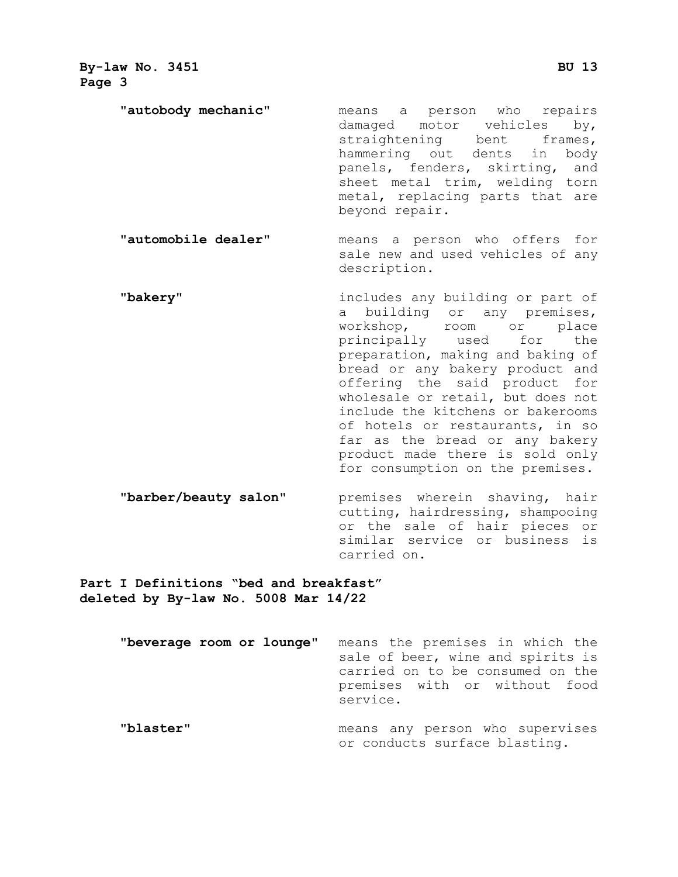**"autobody mechanic"** means a person who repairs damaged motor vehicles by,<br>straightening bent frames, straightening bent frames, hammering out dents in body panels, fenders, skirting, and sheet metal trim, welding torn metal, replacing parts that are beyond repair.

**"automobile dealer"** means a person who offers for sale new and used vehicles of any description.

- **"bakery"** includes any building or part of a building or any premises,<br>workshop, room or place workshop, room or place<br>principally used for the principally preparation, making and baking of bread or any bakery product and offering the said product for wholesale or retail, but does not include the kitchens or bakerooms of hotels or restaurants, in so far as the bread or any bakery product made there is sold only for consumption on the premises.
- **"barber/beauty salon"** premises wherein shaving, hair cutting, hairdressing, shampooing or the sale of hair pieces or similar service or business is carried on.

**Part I Definitions "bed and breakfast" deleted by By-law No. 5008 Mar 14/22**

> **"beverage room or lounge"** means the premises in which the sale of beer, wine and spirits is carried on to be consumed on the premises with or without food service. **"blaster"** means any person who supervises or conducts surface blasting.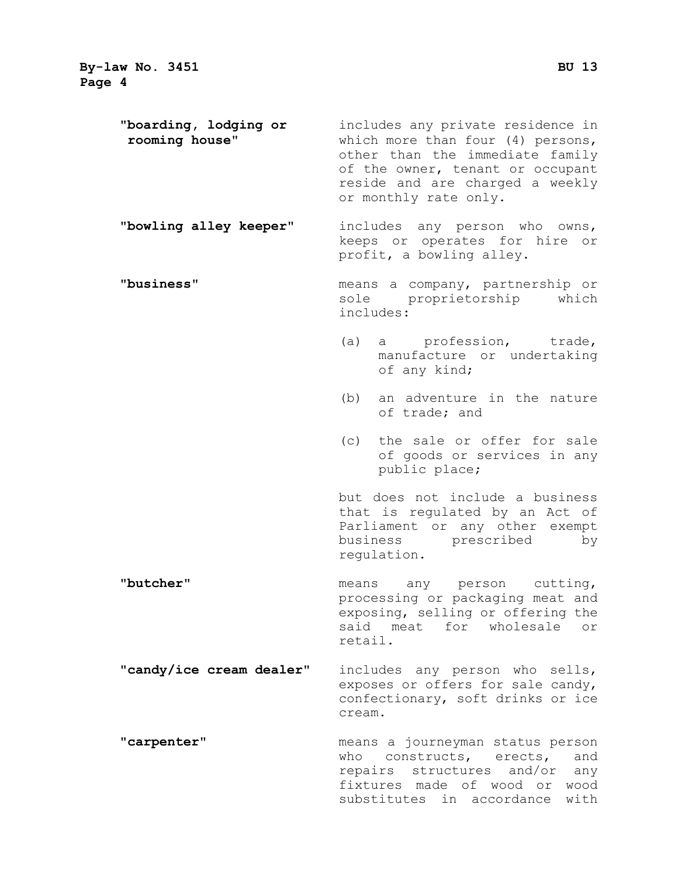| "boarding, lodging or<br>rooming house" | includes any private residence in<br>which more than four (4) persons,<br>other than the immediate family<br>of the owner, tenant or occupant<br>reside and are charged a weekly<br>or monthly rate only. |  |
|-----------------------------------------|-----------------------------------------------------------------------------------------------------------------------------------------------------------------------------------------------------------|--|
| "bowling alley keeper"                  | includes any person who owns,<br>keeps or operates for hire or<br>profit, a bowling alley.                                                                                                                |  |
| "business"                              | means a company, partnership or<br>sole proprietorship which<br>includes:                                                                                                                                 |  |
|                                         | (a) a profession, trade,<br>manufacture or undertaking<br>of any kind;                                                                                                                                    |  |
|                                         | (b) an adventure in the nature<br>of trade; and                                                                                                                                                           |  |
|                                         | the sale or offer for sale<br>(C)<br>of goods or services in any<br>public place;                                                                                                                         |  |
|                                         | but does not include a business<br>that is regulated by an Act of<br>Parliament or any other exempt<br>business prescribed<br>by<br>regulation.                                                           |  |
| "butcher"                               | means any person cutting,<br>processing or packaging meat and<br>exposing, selling or offering the<br>said meat<br>for wholesale<br>or<br>retail.                                                         |  |
| "candy/ice cream dealer"                | includes any person who sells,<br>exposes or offers for sale candy,<br>confectionary, soft drinks or ice<br>cream.                                                                                        |  |
| "carpenter"                             | means a journeyman status person<br>who constructs, erects,<br>and<br>repairs structures and/or<br>any                                                                                                    |  |

fixtures made of wood or wood substitutes in accordance with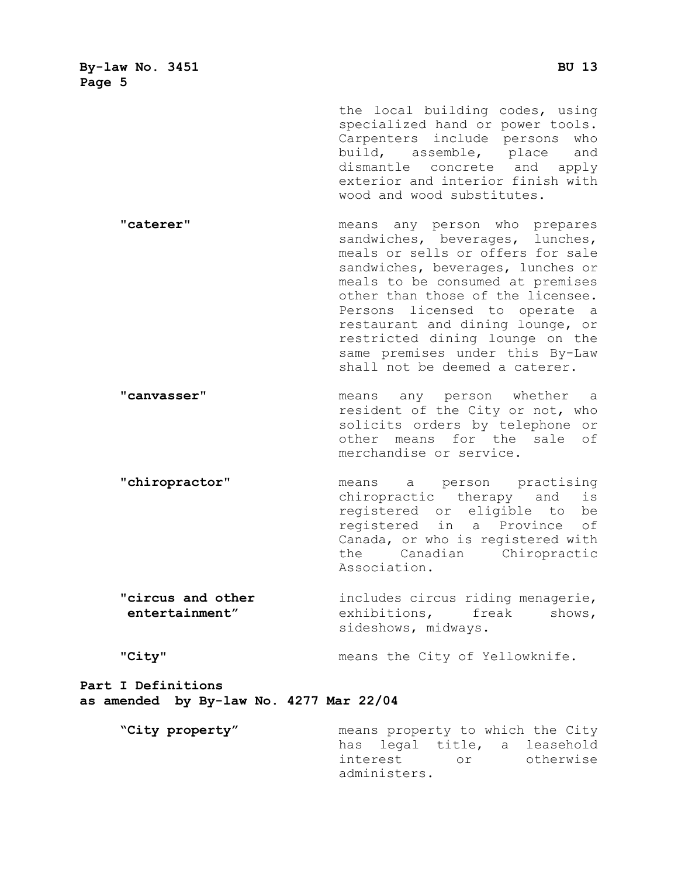the local building codes, using specialized hand or power tools. Carpenters include persons who<br>build, assemble, place and build, assemble, place dismantle concrete and apply exterior and interior finish with wood and wood substitutes.

**"caterer"** means any person who prepares sandwiches, beverages, lunches, meals or sells or offers for sale sandwiches, beverages, lunches or meals to be consumed at premises other than those of the licensee. Persons licensed to operate a restaurant and dining lounge, or restricted dining lounge on the same premises under this By-Law shall not be deemed a caterer.

**"canvasser"** means any person whether a resident of the City or not, who solicits orders by telephone or other means for the sale of merchandise or service.

**"chiropractor"** means a person practising chiropractic therapy and is registered or eligible to be registered in a Province of Canada, or who is registered with<br>the Canadian Chiropractic Canadian Chiropractic Association.

**"circus and other** includes circus riding menagerie, **entertainment"** exhibitions, freak shows, sideshows, midways.

**"City"** means the City of Yellowknife.

**Part I Definitions as amended by By-law No. 4277 Mar 22/04**

**"City property"** means property to which the City has legal title, a leasehold<br>interest or otherwise otherwise administers.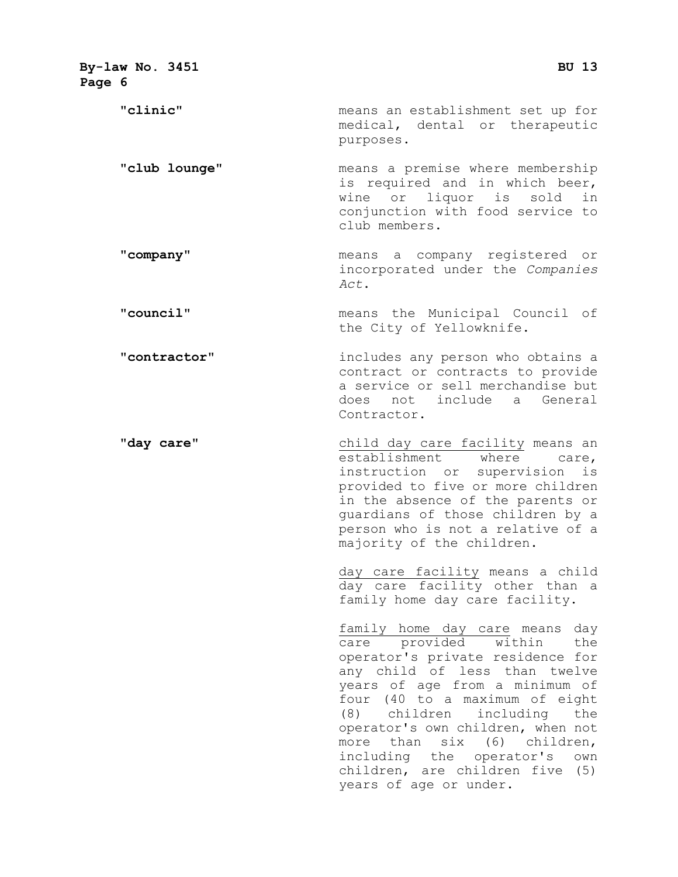| By-law No. 3451<br>Page 6 | <b>BU 13</b>                                                                                                                                                                                                                                                                                                                                                                                             |
|---------------------------|----------------------------------------------------------------------------------------------------------------------------------------------------------------------------------------------------------------------------------------------------------------------------------------------------------------------------------------------------------------------------------------------------------|
| "clinic"                  | means an establishment set up for<br>medical, dental or therapeutic<br>purposes.                                                                                                                                                                                                                                                                                                                         |
| "club lounge"             | means a premise where membership<br>is required and in which beer,<br>wine or liquor is sold in<br>conjunction with food service to<br>club members.                                                                                                                                                                                                                                                     |
| "company"                 | means a company registered or<br>incorporated under the Companies<br>Act.                                                                                                                                                                                                                                                                                                                                |
| "council"                 | means the Municipal Council of<br>the City of Yellowknife.                                                                                                                                                                                                                                                                                                                                               |
| "contractor"              | includes any person who obtains a<br>contract or contracts to provide<br>a service or sell merchandise but<br>does not include a General<br>Contractor.                                                                                                                                                                                                                                                  |
| "day care"                | child day care facility means an<br>establishment<br>where<br>care,<br>instruction or supervision<br>is<br>provided to five or more children<br>in the absence of the parents or<br>guardians of those children by a<br>person who is not a relative of a<br>majority of the children.                                                                                                                   |
|                           | day care facility means a child<br>day care facility other than a<br>family home day care facility.                                                                                                                                                                                                                                                                                                      |
|                           | family home day care means day<br>care provided within the<br>operator's private residence for<br>any child of less than twelve<br>years of age from a minimum of<br>four (40 to a maximum of eight<br>children including<br>(8)<br>the<br>operator's own children, when not<br>more than six (6) children,<br>including the operator's own<br>children, are children five (5)<br>years of age or under. |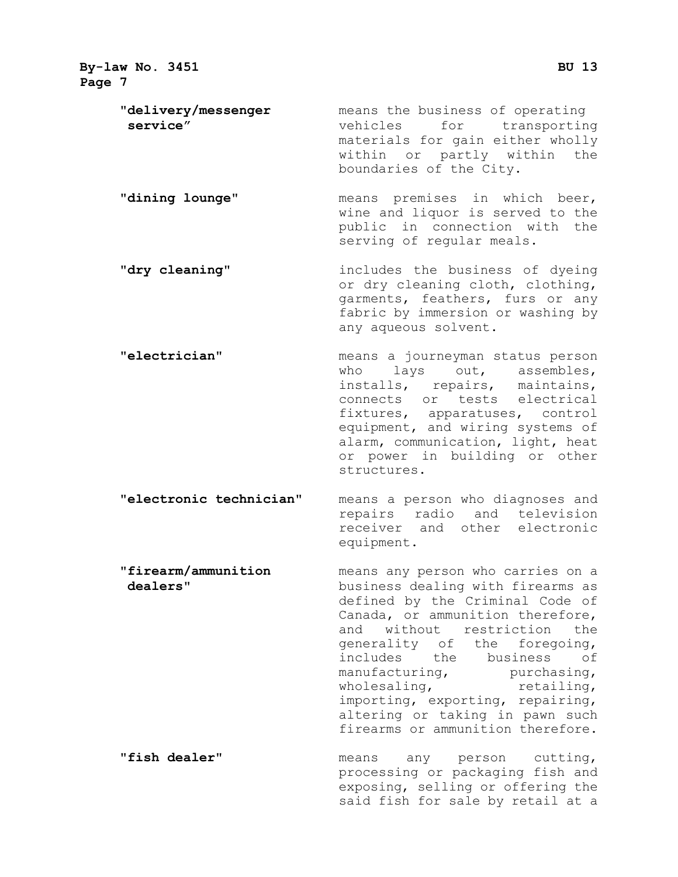**By-law No. 3451 BU 13 Page 7 "delivery/messenger** means the business of operating vehicles for transporting materials for gain either wholly within or partly within the boundaries of the City. **"dining lounge"** means premises in which beer, wine and liquor is served to the public in connection with the serving of regular meals. **"dry cleaning"** includes the business of dyeing or dry cleaning cloth, clothing, garments, feathers, furs or any fabric by immersion or washing by any aqueous solvent. **"electrician"** means a journeyman status person who lays out, assembles, installs, repairs, maintains, connects or tests electrical fixtures, apparatuses, control equipment, and wiring systems of alarm, communication, light, heat or power in building or other structures. **"electronic technician"** means a person who diagnoses and repairs radio and television receiver and other electronic equipment. **"firearm/ammunition** means any person who carries on a **dealers"** business dealing with firearms as defined by the Criminal Code of Canada, or ammunition therefore, and without restriction the generality of the foregoing, includes the business of manufacturing, purchasing, wholesaling, retailing, importing, exporting, repairing, altering or taking in pawn such firearms or ammunition therefore.

**"fish dealer"** means any person cutting, processing or packaging fish and exposing, selling or offering the said fish for sale by retail at a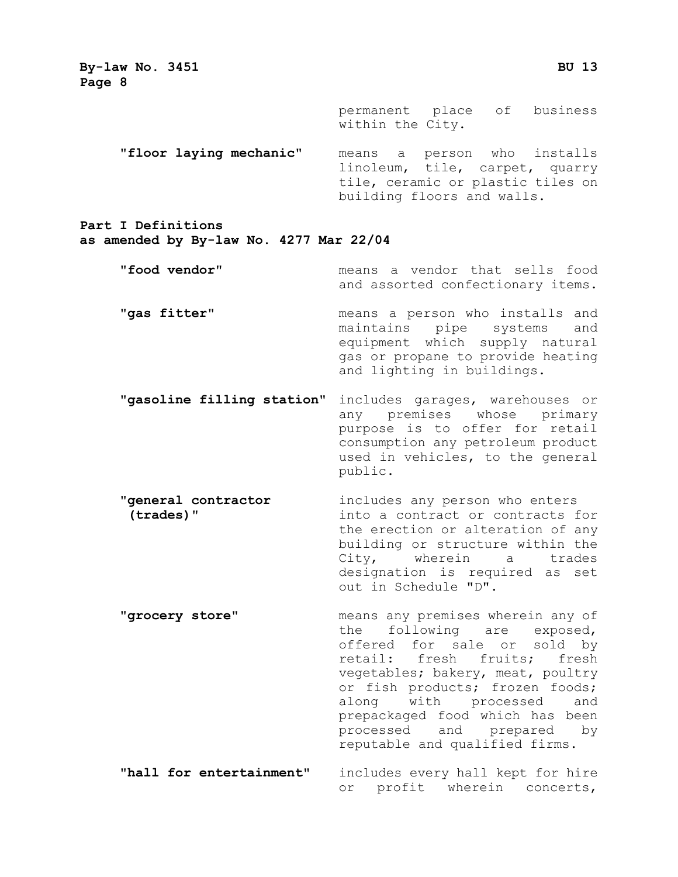> permanent place of business within the City.

**"floor laying mechanic"** means a person who installs linoleum, tile, carpet, quarry tile, ceramic or plastic tiles on building floors and walls.

**Part I Definitions**

**as amended by By-law No. 4277 Mar 22/04**

**"food vendor"** means a vendor that sells food and assorted confectionary items.

- **"gas fitter"** and means a person who installs and "<br>maintains pipe systems and pipe systems equipment which supply natural gas or propane to provide heating and lighting in buildings.
- **"gasoline filling station"** includes garages, warehouses or any premises whose primary purpose is to offer for retail consumption any petroleum product used in vehicles, to the general public.
- **"general contractor** includes any person who enters<br>(**trades)"** into a contract or contracts f into a contract or contracts for the erection or alteration of any building or structure within the City, wherein a trades designation is required as set out in Schedule "D".
- **"grocery store"** means any premises wherein any of the following are exposed, offered for sale or sold by<br>retail: fresh fruits: fresh retail: fresh fruits; vegetables; bakery, meat, poultry or fish products; frozen foods;<br>along with processed and along with processed prepackaged food which has been<br>processed and prepared by processed and prepared by reputable and qualified firms.
- **"hall for entertainment"** includes every hall kept for hire or profit wherein concerts,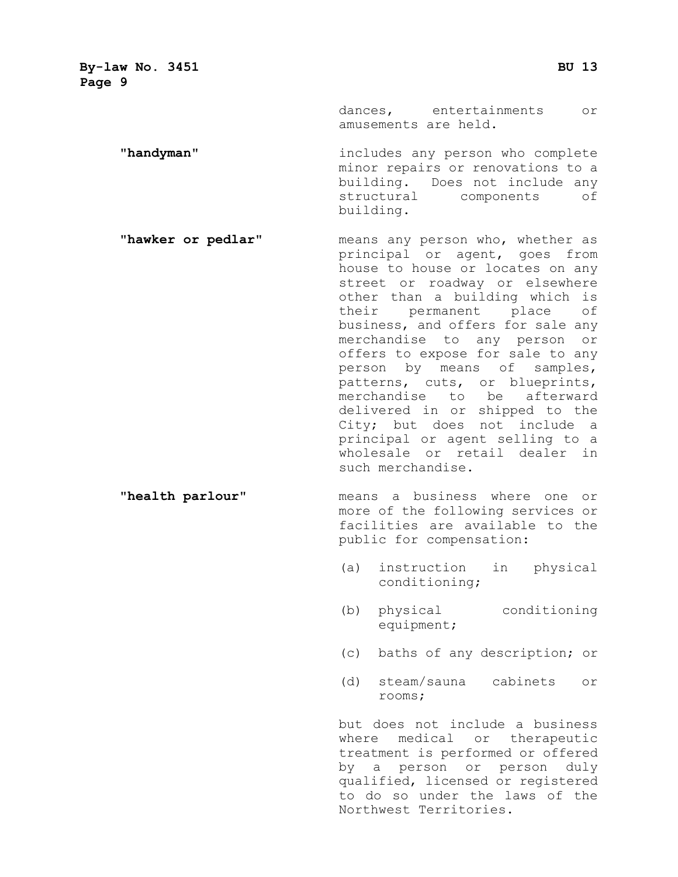> dances, entertainments or amusements are held.

**"handyman"** includes any person who complete minor repairs or renovations to a building. Does not include any<br>structural components of structural components building.

**"hawker or pedlar"** means any person who, whether as principal or agent, goes from house to house or locates on any street or roadway or elsewhere other than a building which is their permanent place of business, and offers for sale any merchandise to any person or offers to expose for sale to any person by means of samples, patterns, cuts, or blueprints, merchandise to be afterward delivered in or shipped to the City; but does not include a principal or agent selling to a wholesale or retail dealer in such merchandise.

#### **"health parlour"** means a business where one or more of the following services or facilities are available to the public for compensation:

- (a) instruction in physical conditioning;
- (b) physical conditioning equipment;
- (c) baths of any description; or
- (d) steam/sauna cabinets or rooms;

but does not include a business where medical or therapeutic treatment is performed or offered by a person or person duly qualified, licensed or registered to do so under the laws of the Northwest Territories.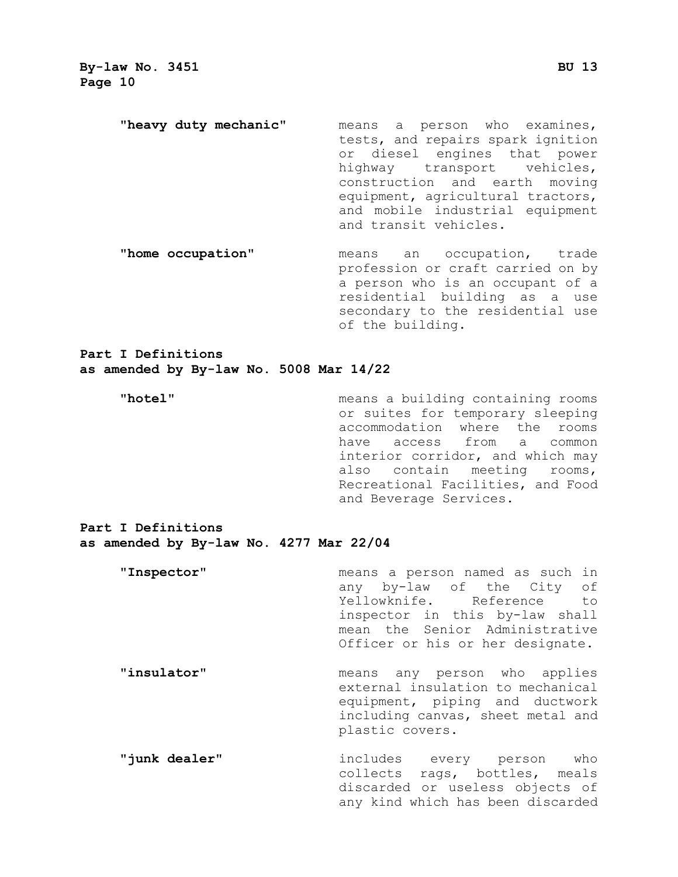- **"heavy duty mechanic"** means a person who examines, tests, and repairs spark ignition or diesel engines that power highway transport vehicles, construction and earth moving equipment, agricultural tractors, and mobile industrial equipment and transit vehicles.
- **"home occupation"** means an occupation, trade profession or craft carried on by a person who is an occupant of a residential building as a use secondary to the residential use of the building.

**Part I Definitions as amended by By-law No. 5008 Mar 14/22**

**"hotel"** means a building containing rooms or suites for temporary sleeping accommodation where the rooms have access from a common interior corridor, and which may also contain meeting rooms, Recreational Facilities, and Food and Beverage Services.

**Part I Definitions as amended by By-law No. 4277 Mar 22/04**

- **"Inspector"** means a person named as such in any by-law of the City of<br>Yellowknife. Reference to Yellowknife. inspector in this by-law shall mean the Senior Administrative Officer or his or her designate. **"insulator"** means any person who applies external insulation to mechanical equipment, piping and ductwork including canvas, sheet metal and
- **"junk dealer"** includes every person who collects rags, bottles, meals discarded or useless objects of any kind which has been discarded

plastic covers.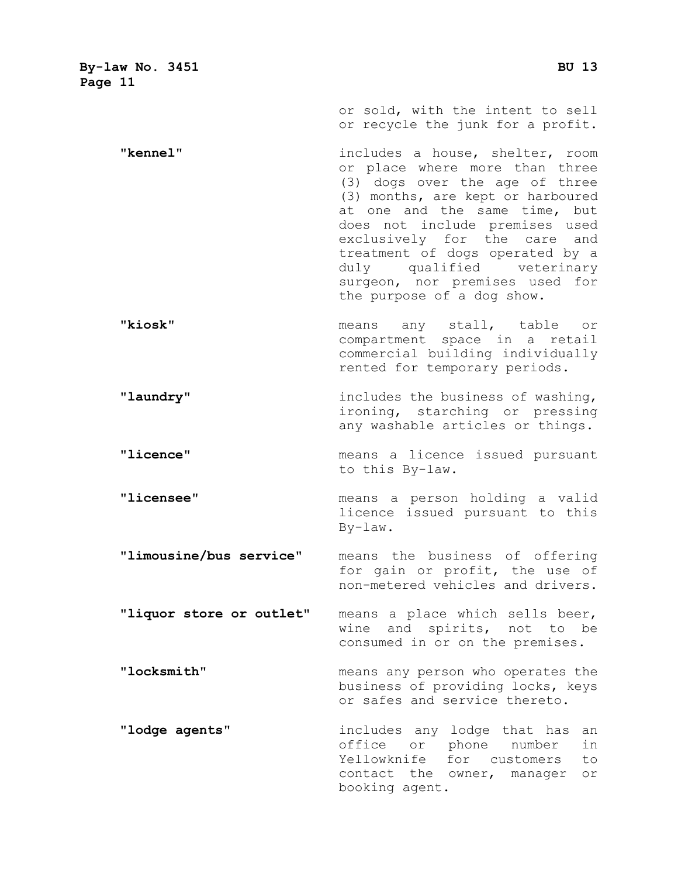**By-law No. 3451 BU 13 Page 11** or sold, with the intent to sell or recycle the junk for a profit. **"kennel"** includes a house, shelter, room or place where more than three (3) dogs over the age of three (3) months, are kept or harboured at one and the same time, but does not include premises used exclusively for the care and treatment of dogs operated by a duly qualified veterinary surgeon, nor premises used for the purpose of a dog show. **"kiosk"** means any stall, table or compartment space in a retail commercial building individually rented for temporary periods. **"laundry"** includes the business of washing, ironing, starching or pressing any washable articles or things. **"licence"** means a licence issued pursuant to this By-law. **"licensee"** means a person holding a valid

licence issued pursuant to this By-law.

**"limousine/bus service"** means the business of offering for gain or profit, the use of non-metered vehicles and drivers.

**"liquor store or outlet"** means a place which sells beer, wine and spirits, not to be consumed in or on the premises.

**"locksmith"** means any person who operates the business of providing locks, keys or safes and service thereto.

**"lodge agents"** includes any lodge that has an office or phone number in Yellowknife for customers to contact the owner, manager or booking agent.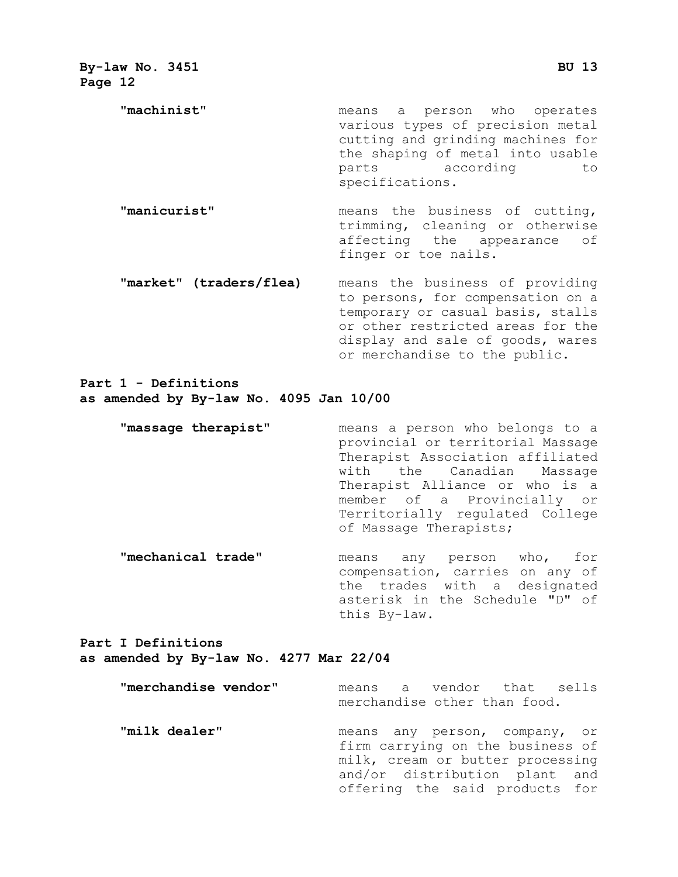**"machinist"** means a person who operates various types of precision metal cutting and grinding machines for the shaping of metal into usable<br>parts according to according to specifications.

- **"manicurist"** means the business of cutting, trimming, cleaning or otherwise affecting the appearance of finger or toe nails.
- **"market" (traders/flea)** means the business of providing to persons, for compensation on a temporary or casual basis, stalls or other restricted areas for the display and sale of goods, wares or merchandise to the public.

#### **Part 1 - Definitions as amended by By-law No. 4095 Jan 10/00**

- **"massage therapist"** means a person who belongs to a provincial or territorial Massage Therapist Association affiliated with the Canadian Massage Therapist Alliance or who is a member of a Provincially or Territorially regulated College of Massage Therapists;
- **"mechanical trade"** means any person who, for compensation, carries on any of the trades with a designated asterisk in the Schedule "D" of this By-law.

#### **Part I Definitions as amended by By-law No. 4277 Mar 22/04**

| "merchandise vendor" | means a vendor that sells<br>merchandise other than food.                                                                                                                |
|----------------------|--------------------------------------------------------------------------------------------------------------------------------------------------------------------------|
| "milk dealer"        | means any person, company, or<br>firm carrying on the business of<br>milk, cream or butter processing<br>and/or distribution plant and<br>offering the said products for |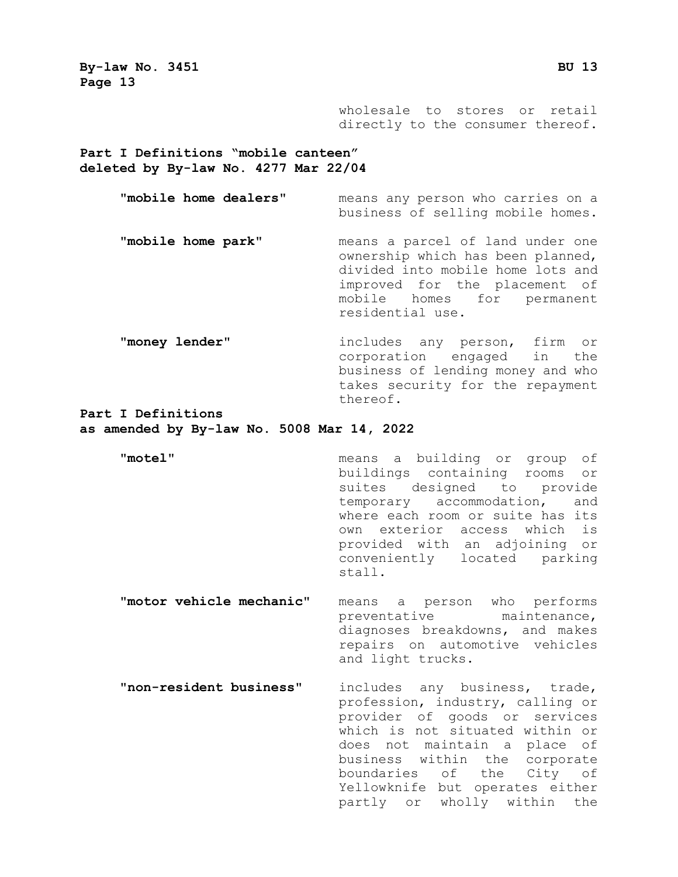> wholesale to stores or retail directly to the consumer thereof.

**Part I Definitions "mobile canteen" deleted by By-law No. 4277 Mar 22/04**

> **"mobile home dealers"** means any person who carries on a business of selling mobile homes. **"mobile home park"** means a parcel of land under one ownership which has been planned, divided into mobile home lots and improved for the placement of mobile homes for permanent residential use.

> **"money lender"** includes any person, firm or corporation engaged in the business of lending money and who takes security for the repayment thereof.

**Part I Definitions** 

- **as amended by By-law No. 5008 Mar 14, 2022**
	- "motel" **motel**" means a building or group of buildings containing rooms or suites designed to provide temporary accommodation, and where each room or suite has its own exterior access which is provided with an adjoining or conveniently located parking stall.
	- **"motor vehicle mechanic"** means a person who performs preventative maintenance, diagnoses breakdowns, and makes repairs on automotive vehicles and light trucks.
	- **"non-resident business"** includes any business, trade, profession, industry, calling or provider of goods or services which is not situated within or does not maintain a place of business within the corporate boundaries of the City of Yellowknife but operates either partly or wholly within the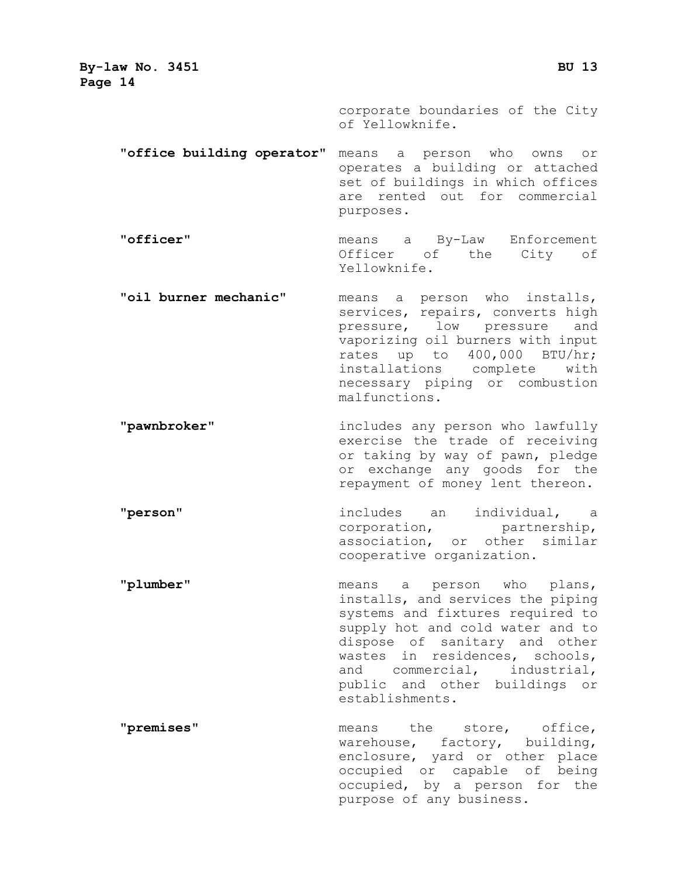> corporate boundaries of the City of Yellowknife.

**"office building operator"** means a person who owns or operates a building or attached set of buildings in which offices are rented out for commercial purposes.

**"officer"** means a By-Law Enforcement Officer of the City of Yellowknife.

- **"oil burner mechanic"** means a person who installs, services, repairs, converts high<br>pressure, low pressure and pressure, low pressure vaporizing oil burners with input rates up to 400,000 BTU/hr; installations complete with necessary piping or combustion malfunctions.
- **"pawnbroker"** includes any person who lawfully exercise the trade of receiving or taking by way of pawn, pledge or exchange any goods for the repayment of money lent thereon.

**"person"** includes an individual, a<br>corporation, partnership, corporation, association, or other similar cooperative organization.

- **"plumber"** means a person who plans, installs, and services the piping systems and fixtures required to supply hot and cold water and to dispose of sanitary and other wastes in residences, schools, and commercial, industrial, public and other buildings or establishments.
- **"premises"** means the store, office, warehouse, factory, building, enclosure, yard or other place occupied or capable of being occupied, by a person for the purpose of any business.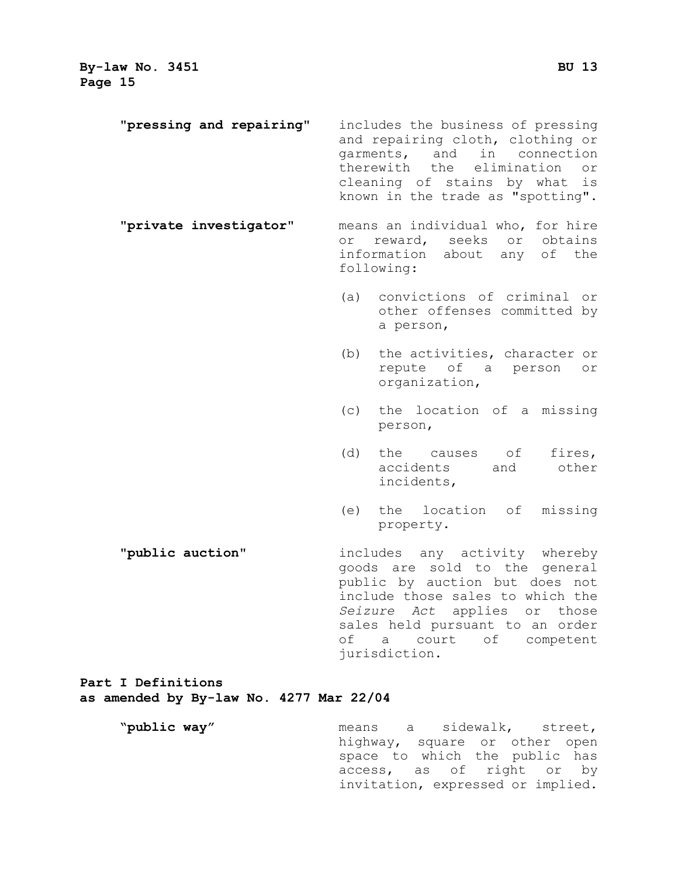| "pressing and repairing" | includes the business of pressing<br>and repairing cloth, clothing or<br>and<br>in<br>garments,<br>connection<br>therewith the<br>elimination<br>or<br>cleaning of stains by what<br>is<br>known in the trade as "spotting".                                                 |  |
|--------------------------|------------------------------------------------------------------------------------------------------------------------------------------------------------------------------------------------------------------------------------------------------------------------------|--|
| "private investigator"   | means an individual who, for hire<br>reward, seeks or obtains<br>or<br>information about<br>any<br>of the<br>following:                                                                                                                                                      |  |
|                          | convictions of criminal or<br>(a)<br>other offenses committed by<br>a person,                                                                                                                                                                                                |  |
|                          | (b)<br>the activities, character or<br>repute of<br>a person<br>or<br>organization,                                                                                                                                                                                          |  |
|                          | the location of a missing<br>(c)<br>person,                                                                                                                                                                                                                                  |  |
|                          | (d)<br>the causes of<br>fires,<br>accidents<br>and<br>other<br>incidents,                                                                                                                                                                                                    |  |
|                          | the location of<br>(e)<br>missing<br>property.                                                                                                                                                                                                                               |  |
| "public auction"         | includes any activity whereby<br>goods are sold to the general<br>public by auction but does not<br>include those sales to which the<br>Seizure Act<br>applies or<br>those<br>sales held pursuant to an order<br>оf<br>court<br>competent<br>$\alpha$<br>of<br>jurisdiction. |  |
| Part I Definitions       |                                                                                                                                                                                                                                                                              |  |

#### **as amended by By-law No. 4277 Mar 22/04**

**"public way"** means a sidewalk, street, highway, square or other open space to which the public has access, as of right or by invitation, expressed or implied.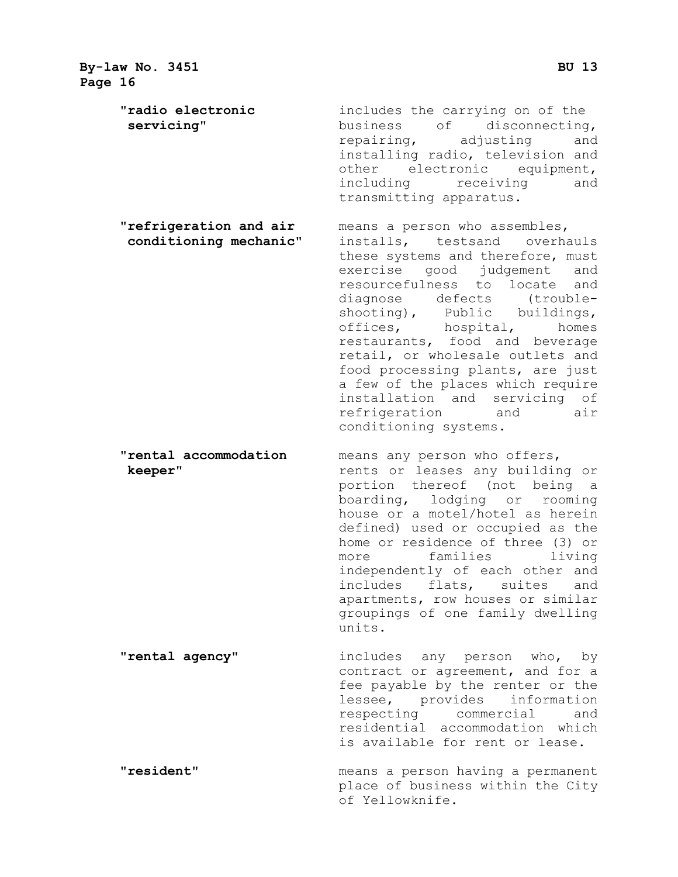**By-law No. 3451 BU 13 Page 16 "radio electronic** includes the carrying on of the **servicing"** business of disconnecting,<br>
repairing, adjusting and repairing, installing radio, television and other electronic equipment,<br>including receiving and receiving and transmitting apparatus. **"refrigeration and air** means a person who assembles,<br> **conditioning mechanic"** installs, testsand overha installs, testsand overhauls these systems and therefore, must exercise good judgement and resourcefulness to locate and diagnose defects (troubleshooting), Public buildings, offices, hospital, homes restaurants, food and beverage retail, or wholesale outlets and food processing plants, are just a few of the places which require installation and servicing of<br>refrigeration and air refrigeration conditioning systems. **"rental accommodation** means any person who offers, **keeper"** rents or leases any building or portion thereof (not being a boarding, lodging or rooming house or a motel/hotel as herein defined) used or occupied as the home or residence of three (3) or<br>more families living families living independently of each other and<br>includes flats, suites and includes flats, suites apartments, row houses or similar groupings of one family dwelling units. **"rental agency"** includes any person who, by contract or agreement, and for a fee payable by the renter or the lessee, provides information<br>respecting commercial and respecting commercial residential accommodation which is available for rent or lease. **"resident"** means a person having a permanent place of business within the City of Yellowknife.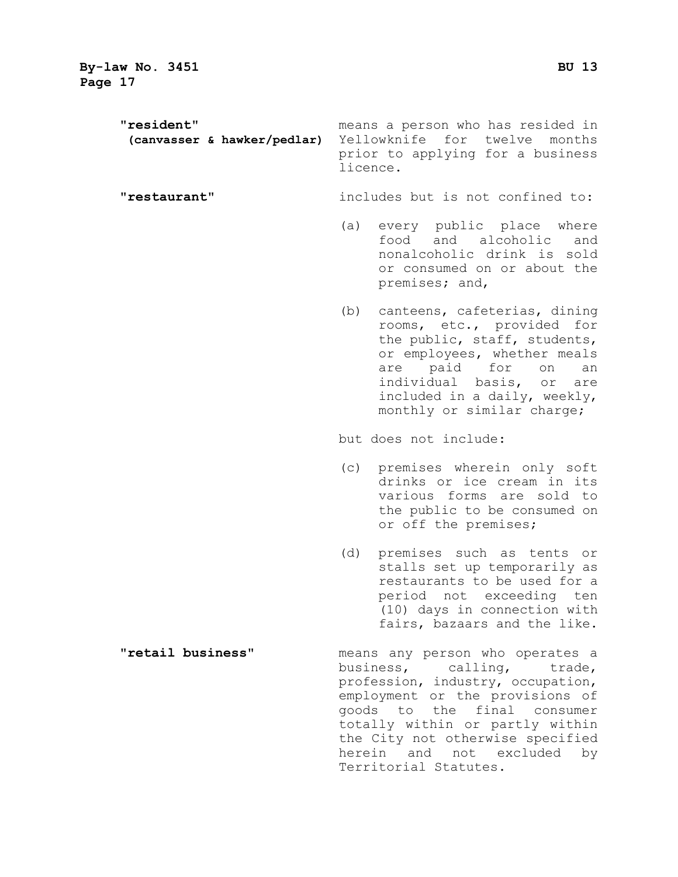**"resident"** means a person who has resided in **(canvasser & hawker/pedlar)** Yellowknife for twelve months prior to applying for a business licence.

**"restaurant"** includes but is not confined to:

- (a) every public place where food and alcoholic and nonalcoholic drink is sold or consumed on or about the premises; and,
- (b) canteens, cafeterias, dining rooms, etc., provided for the public, staff, students, or employees, whether meals are paid for on an individual basis, or are included in a daily, weekly, monthly or similar charge;

but does not include:

- (c) premises wherein only soft drinks or ice cream in its various forms are sold to the public to be consumed on or off the premises;
- (d) premises such as tents or stalls set up temporarily as restaurants to be used for a period not exceeding ten (10) days in connection with fairs, bazaars and the like.
- **"retail business"** means any person who operates a business, calling, trade, profession, industry, occupation, employment or the provisions of goods to the final consumer totally within or partly within the City not otherwise specified herein and not excluded by Territorial Statutes.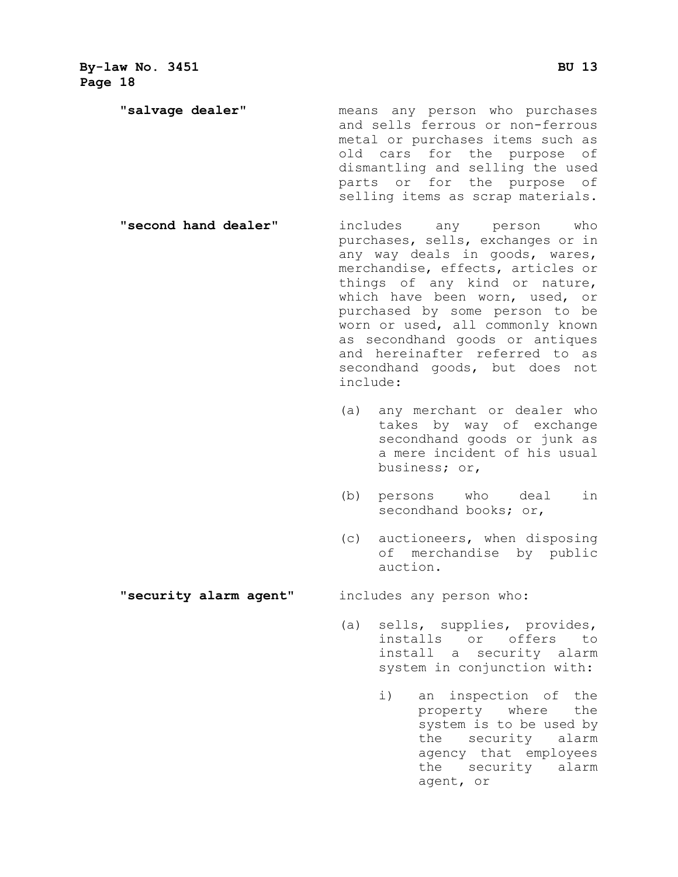**"salvage dealer"** means any person who purchases and sells ferrous or non-ferrous metal or purchases items such as old cars for the purpose of dismantling and selling the used parts or for the purpose of selling items as scrap materials.

- **"second hand dealer"** includes any person who purchases, sells, exchanges or in any way deals in goods, wares, merchandise, effects, articles or things of any kind or nature, which have been worn, used, or purchased by some person to be worn or used, all commonly known as secondhand goods or antiques and hereinafter referred to as secondhand goods, but does not include:
	- (a) any merchant or dealer who takes by way of exchange secondhand goods or junk as a mere incident of his usual business; or,
	- (b) persons who deal in secondhand books; or,
	- (c) auctioneers, when disposing of merchandise by public auction.

**"security alarm agent"** includes any person who:

- (a) sells, supplies, provides, installs or offers to install a security alarm system in conjunction with:
	- i) an inspection of the property where the system is to be used by the security alarm agency that employees the security alarm agent, or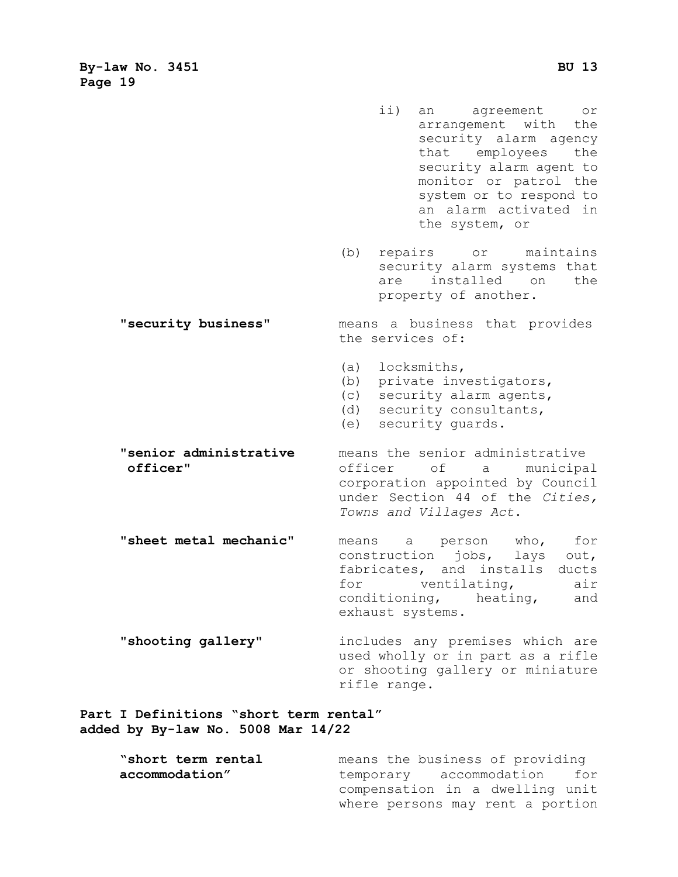- ii) an agreement or arrangement with the security alarm agency that employees the security alarm agent to monitor or patrol the system or to respond to an alarm activated in the system, or (b) repairs or maintains security alarm systems that are installed on the property of another. **"security business"** means a business that provides the services of: (a) locksmiths, (b) private investigators, (c) security alarm agents, (d) security consultants, (e) security guards.
- **"senior administrative** means the senior administrative<br> **officer**" of a municipa of a municipal corporation appointed by Council under Section 44 of the *Cities, Towns and Villages Act*.
- **"sheet metal mechanic"** means a person who, for construction jobs, lays out, fabricates, and installs ducts<br>for ventilating, air for ventilating, air<br>conditioning, heating, and conditioning, heating, exhaust systems.
- **"shooting gallery"** includes any premises which are used wholly or in part as a rifle or shooting gallery or miniature rifle range.

#### **Part I Definitions "short term rental" added by By-law No. 5008 Mar 14/22**

| "short term rental | means the business of providing  |
|--------------------|----------------------------------|
| accommodation"     | temporary accommodation for      |
|                    | compensation in a dwelling unit  |
|                    | where persons may rent a portion |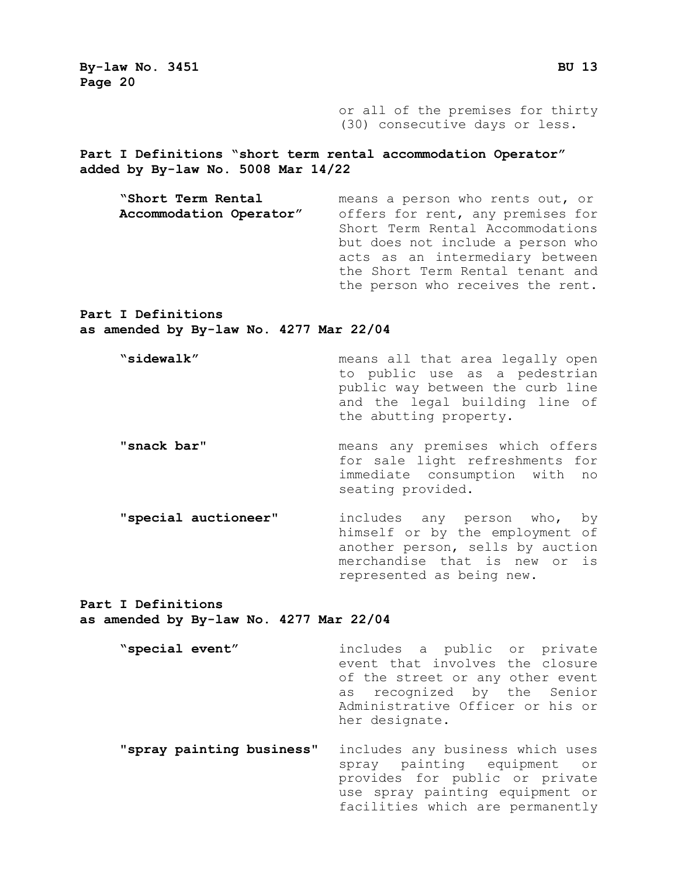> or all of the premises for thirty (30) consecutive days or less.

**Part I Definitions "short term rental accommodation Operator" added by By-law No. 5008 Mar 14/22**

**"Short Term Rental** means a person who rents out, or offers for rent, any premises for Short Term Rental Accommodations but does not include a person who acts as an intermediary between the Short Term Rental tenant and the person who receives the rent.

**Part I Definitions as amended by By-law No. 4277 Mar 22/04**

- **"sidewalk"** means all that area legally open to public use as a pedestrian public way between the curb line and the legal building line of the abutting property.
- **"snack bar"** means any premises which offers for sale light refreshments for immediate consumption with no seating provided.
	- **"special auctioneer"** includes any person who, by himself or by the employment of another person, sells by auction merchandise that is new or is represented as being new.

**Part I Definitions as amended by By-law No. 4277 Mar 22/04**

**"special event"** includes a public or private event that involves the closure of the street or any other event as recognized by the Senior Administrative Officer or his or her designate. **"spray painting business"** includes any business which uses spray painting equipment or provides for public or private

> use spray painting equipment or facilities which are permanently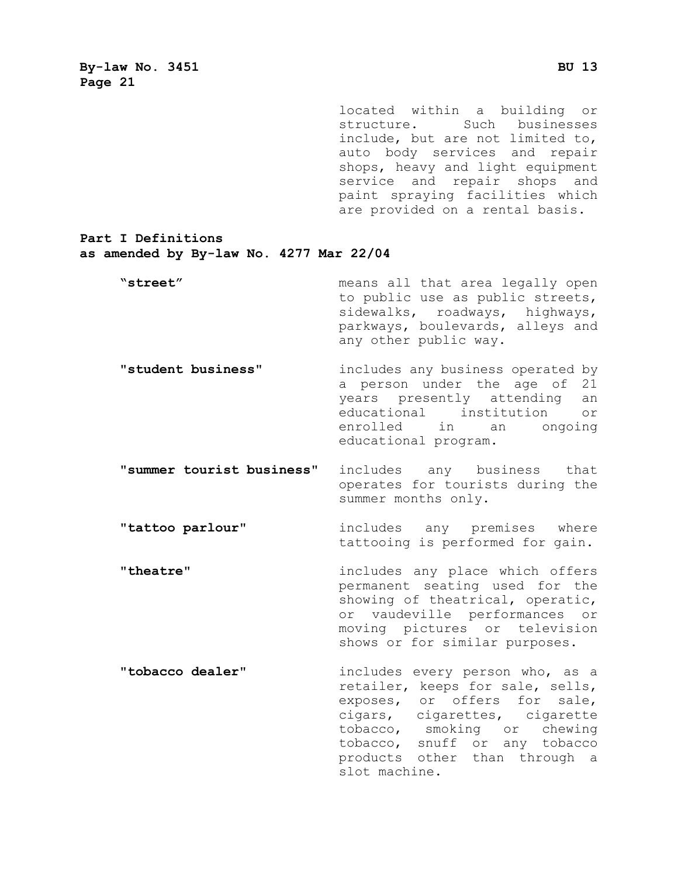located within a building or structure. Such businesses include, but are not limited to, auto body services and repair shops, heavy and light equipment service and repair shops and paint spraying facilities which are provided on a rental basis.

#### **Part I Definitions as amended by By-law No. 4277 Mar 22/04**

| "street" | means all that area legally open |
|----------|----------------------------------|
|          | to public use as public streets, |
|          | sidewalks, roadways, highways,   |
|          | parkways, boulevards, alleys and |
|          | any other public way.            |
|          |                                  |

- **"student business"** includes any business operated by a person under the age of 21<br>vears presently attending an years presently attending an<br>educational institution or educational institution<br>enrolled in an ong an ongoing educational program.
- **"summer tourist business"** includes any business that operates for tourists during the summer months only.

**"tattoo parlour"** includes any premises where tattooing is performed for gain.

**"theatre"** includes any place which offers permanent seating used for the showing of theatrical, operatic, or vaudeville performances or moving pictures or television shows or for similar purposes.

**"tobacco dealer"** includes every person who, as a retailer, keeps for sale, sells, exposes, or offers for sale, cigars, cigarettes, cigarette tobacco, smoking or chewing tobacco, snuff or any tobacco products other than through a slot machine.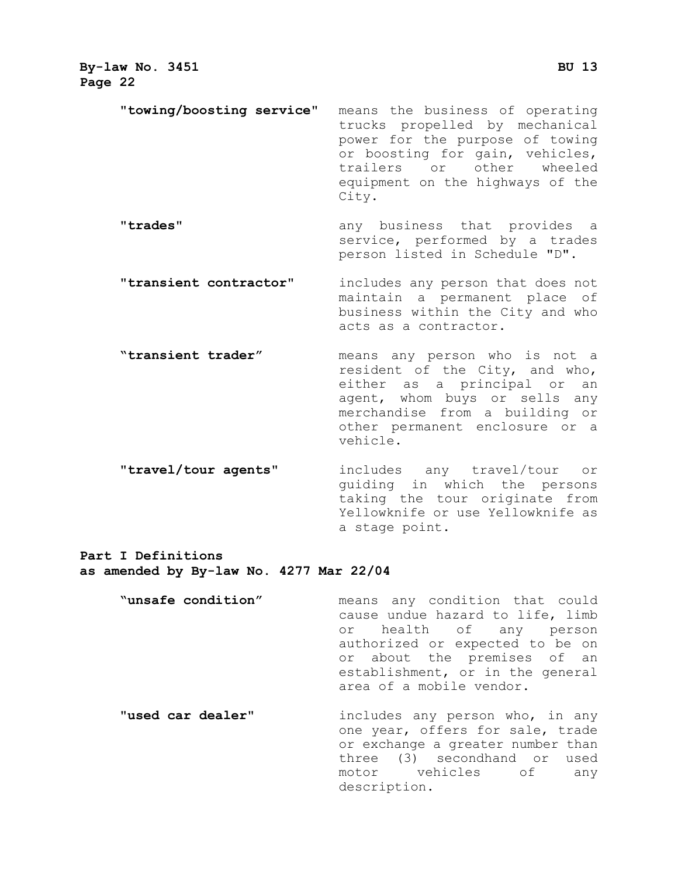- **"towing/boosting service"** means the business of operating trucks propelled by mechanical power for the purpose of towing or boosting for gain, vehicles, trailers or other wheeled equipment on the highways of the
- **"trades"** any business that provides a service, performed by a trades person listed in Schedule "D".

City.

- **"transient contractor"** includes any person that does not maintain a permanent place of business within the City and who acts as a contractor.
- **"transient trader"** means any person who is not a resident of the City, and who, either as a principal or an agent, whom buys or sells any merchandise from a building or other permanent enclosure or a vehicle.
- **"travel/tour agents"** includes any travel/tour or guiding in which the persons taking the tour originate from Yellowknife or use Yellowknife as a stage point.

**Part I Definitions**

- **as amended by By-law No. 4277 Mar 22/04**
	- **"unsafe condition"** means any condition that could cause undue hazard to life, limb or health of any person authorized or expected to be on or about the premises of an establishment, or in the general area of a mobile vendor. **"used car dealer"** includes any person who, in any one year, offers for sale, trade or exchange a greater number than

description.

three (3) secondhand or used<br>motor vehicles of any vehicles of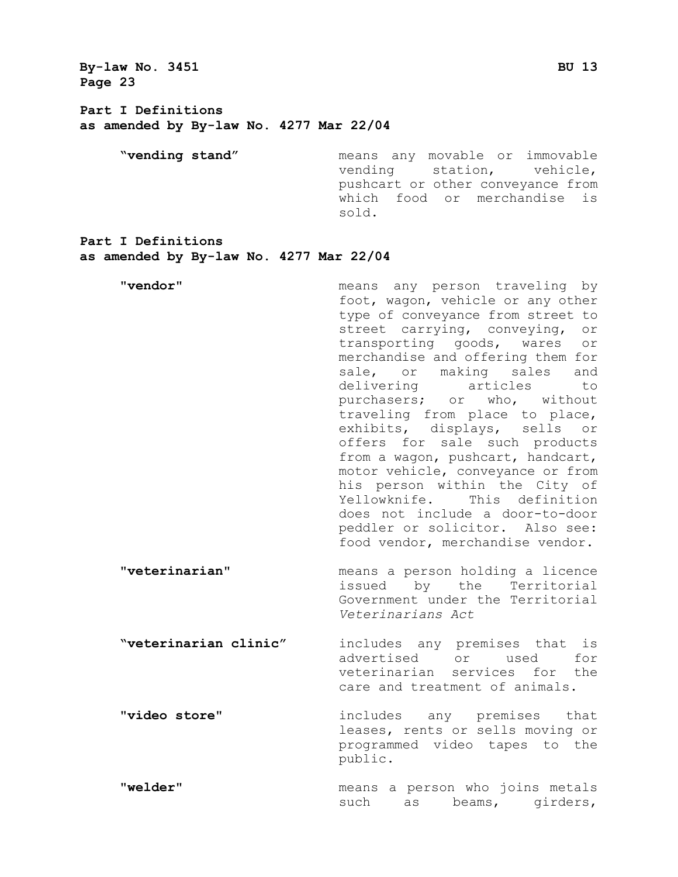**By-law No. 3451 BU 13 Page 23 Part I Definitions as amended by By-law No. 4277 Mar 22/04 "vending stand"** means any movable or immovable vending station, vehicle, pushcart or other conveyance from which food or merchandise is sold. **Part I Definitions as amended by By-law No. 4277 Mar 22/04 "vendor"** means any person traveling by foot, wagon, vehicle or any other type of conveyance from street to street carrying, conveying, or transporting goods, wares or merchandise and offering them for sale, or making sales and delivering articles to purchasers; or who, without traveling from place to place, exhibits, displays, sells or offers for sale such products from a wagon, pushcart, handcart, motor vehicle, conveyance or from his person within the City of Yellowknife. This definition does not include a door-to-door peddler or solicitor. Also see: food vendor, merchandise vendor. **"veterinarian"** means a person holding a licence issued by the Territorial Government under the Territorial *Veterinarians Act* **"veterinarian clinic"** includes any premises that is advertised or used for veterinarian services for the care and treatment of animals. **"video store"** includes any premises that leases, rents or sells moving or programmed video tapes to the public. **"welder"** means a person who joins metals such as beams, girders,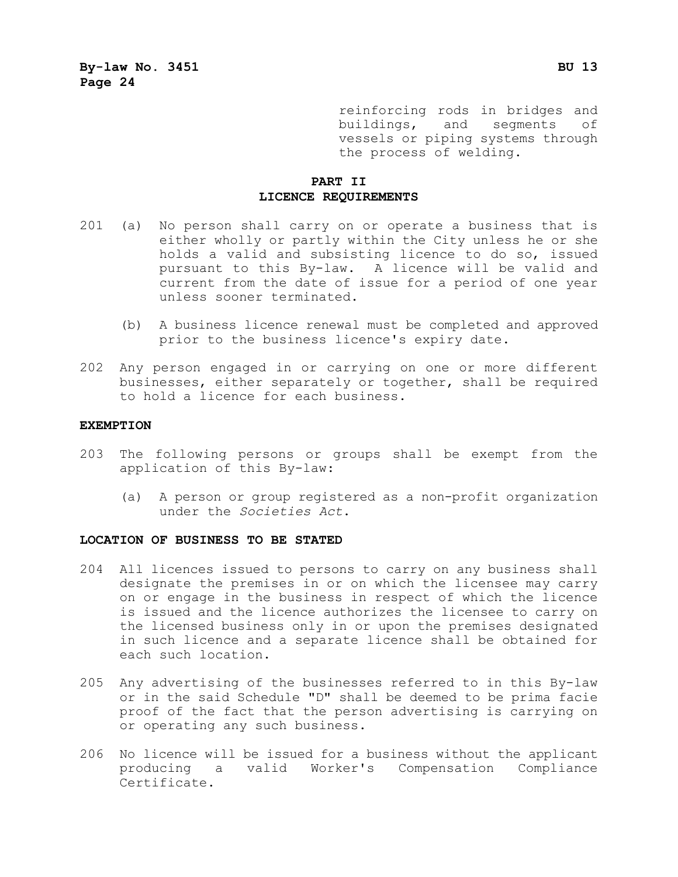reinforcing rods in bridges and<br>buildings, and segments of buildings, and segments vessels or piping systems through the process of welding.

#### **PART II LICENCE REQUIREMENTS**

- 201 (a) No person shall carry on or operate a business that is either wholly or partly within the City unless he or she holds a valid and subsisting licence to do so, issued pursuant to this By-law. A licence will be valid and current from the date of issue for a period of one year unless sooner terminated.
	- (b) A business licence renewal must be completed and approved prior to the business licence's expiry date.
- 202 Any person engaged in or carrying on one or more different businesses, either separately or together, shall be required to hold a licence for each business.

#### **EXEMPTION**

- 203 The following persons or groups shall be exempt from the application of this By-law:
	- (a) A person or group registered as a non-profit organization under the *Societies Act*.

#### **LOCATION OF BUSINESS TO BE STATED**

- 204 All licences issued to persons to carry on any business shall designate the premises in or on which the licensee may carry on or engage in the business in respect of which the licence is issued and the licence authorizes the licensee to carry on the licensed business only in or upon the premises designated in such licence and a separate licence shall be obtained for each such location.
- 205 Any advertising of the businesses referred to in this By-law or in the said Schedule "D" shall be deemed to be prima facie proof of the fact that the person advertising is carrying on or operating any such business.
- 206 No licence will be issued for a business without the applicant producing a valid Worker's Compensation Compliance Certificate.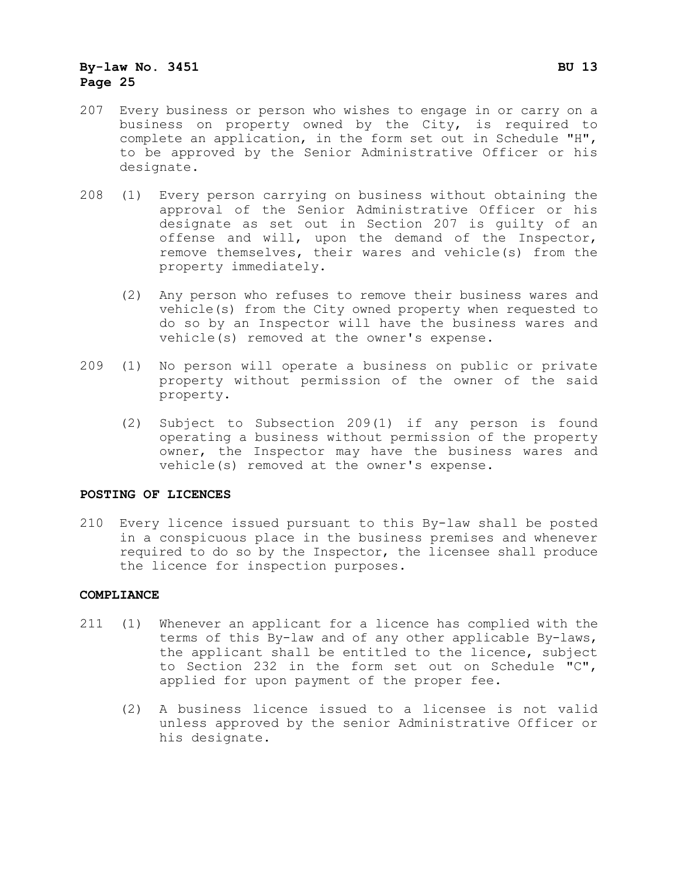- 207 Every business or person who wishes to engage in or carry on a business on property owned by the City, is required to complete an application, in the form set out in Schedule "H", to be approved by the Senior Administrative Officer or his designate.
- 208 (1) Every person carrying on business without obtaining the approval of the Senior Administrative Officer or his designate as set out in Section 207 is guilty of an offense and will, upon the demand of the Inspector, remove themselves, their wares and vehicle(s) from the property immediately.
	- (2) Any person who refuses to remove their business wares and vehicle(s) from the City owned property when requested to do so by an Inspector will have the business wares and vehicle(s) removed at the owner's expense.
- 209 (1) No person will operate a business on public or private property without permission of the owner of the said property.
	- (2) Subject to Subsection 209(1) if any person is found operating a business without permission of the property owner, the Inspector may have the business wares and vehicle(s) removed at the owner's expense.

#### **POSTING OF LICENCES**

210 Every licence issued pursuant to this By-law shall be posted in a conspicuous place in the business premises and whenever required to do so by the Inspector, the licensee shall produce the licence for inspection purposes.

#### **COMPLIANCE**

- 211 (1) Whenever an applicant for a licence has complied with the terms of this By-law and of any other applicable By-laws, the applicant shall be entitled to the licence, subject to Section 232 in the form set out on Schedule "C", applied for upon payment of the proper fee.
	- (2) A business licence issued to a licensee is not valid unless approved by the senior Administrative Officer or his designate.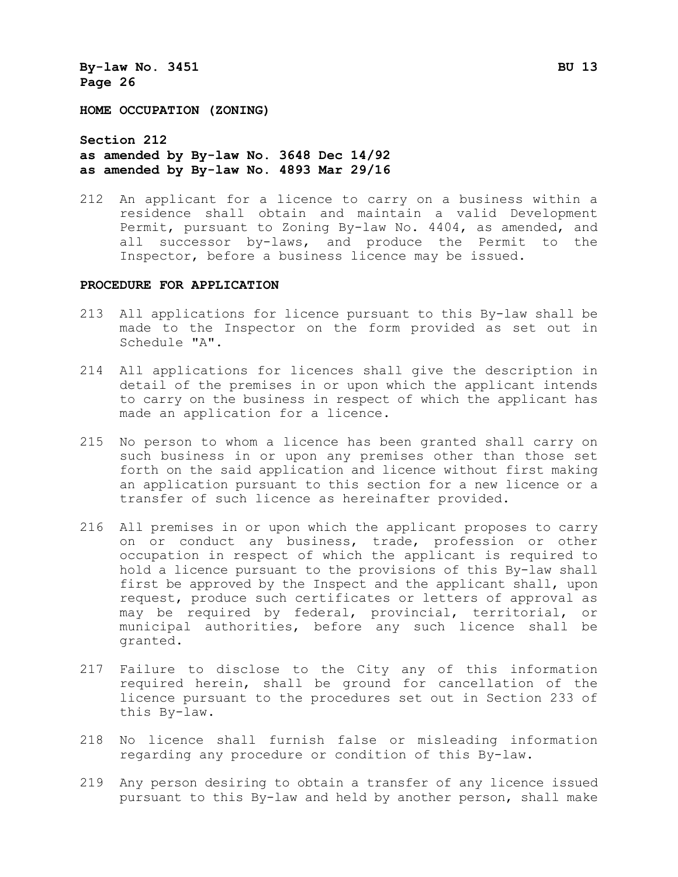**HOME OCCUPATION (ZONING)**

**Section 212 as amended by By-law No. 3648 Dec 14/92 as amended by By-law No. 4893 Mar 29/16**

212 An applicant for a licence to carry on a business within a residence shall obtain and maintain a valid Development Permit, pursuant to Zoning By-law No. 4404, as amended, and all successor by-laws, and produce the Permit to the Inspector, before a business licence may be issued.

#### **PROCEDURE FOR APPLICATION**

- 213 All applications for licence pursuant to this By-law shall be made to the Inspector on the form provided as set out in Schedule "A".
- 214 All applications for licences shall give the description in detail of the premises in or upon which the applicant intends to carry on the business in respect of which the applicant has made an application for a licence.
- 215 No person to whom a licence has been granted shall carry on such business in or upon any premises other than those set forth on the said application and licence without first making an application pursuant to this section for a new licence or a transfer of such licence as hereinafter provided.
- 216 All premises in or upon which the applicant proposes to carry on or conduct any business, trade, profession or other occupation in respect of which the applicant is required to hold a licence pursuant to the provisions of this By-law shall first be approved by the Inspect and the applicant shall, upon request, produce such certificates or letters of approval as may be required by federal, provincial, territorial, or municipal authorities, before any such licence shall be granted.
- 217 Failure to disclose to the City any of this information required herein, shall be ground for cancellation of the licence pursuant to the procedures set out in Section 233 of this By-law.
- 218 No licence shall furnish false or misleading information regarding any procedure or condition of this By-law.
- 219 Any person desiring to obtain a transfer of any licence issued pursuant to this By-law and held by another person, shall make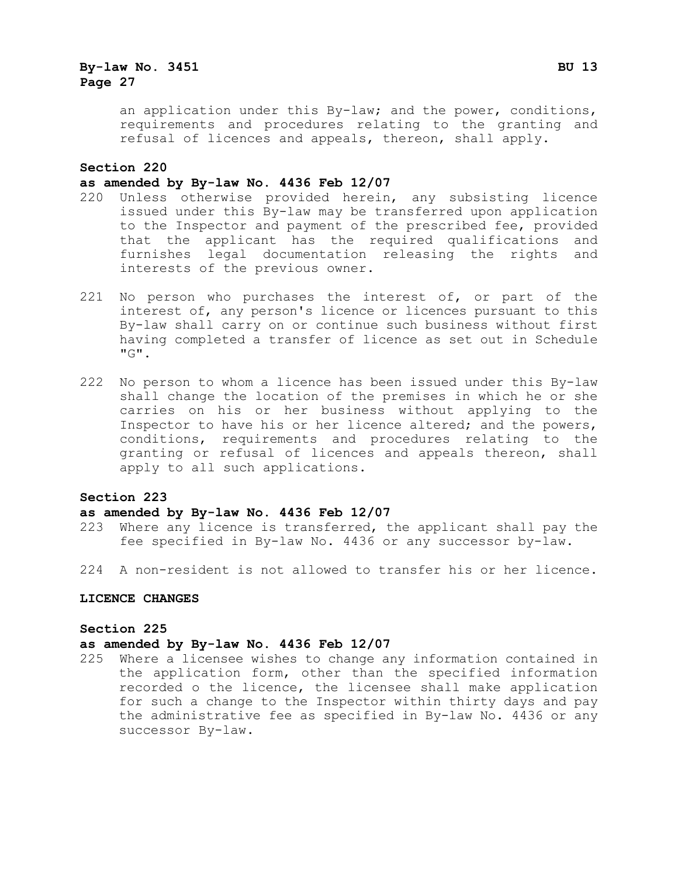an application under this By-law; and the power, conditions, requirements and procedures relating to the granting and refusal of licences and appeals, thereon, shall apply.

#### **Section 220**

#### **as amended by By-law No. 4436 Feb 12/07**

- 220 Unless otherwise provided herein, any subsisting licence issued under this By-law may be transferred upon application to the Inspector and payment of the prescribed fee, provided that the applicant has the required qualifications and furnishes legal documentation releasing the rights and interests of the previous owner.
- 221 No person who purchases the interest of, or part of the interest of, any person's licence or licences pursuant to this By-law shall carry on or continue such business without first having completed a transfer of licence as set out in Schedule "G".
- 222 No person to whom a licence has been issued under this By-law shall change the location of the premises in which he or she carries on his or her business without applying to the Inspector to have his or her licence altered; and the powers, conditions, requirements and procedures relating to the granting or refusal of licences and appeals thereon, shall apply to all such applications.

#### **Section 223**

#### **as amended by By-law No. 4436 Feb 12/07**

- 223 Where any licence is transferred, the applicant shall pay the fee specified in By-law No. 4436 or any successor by-law.
- 224 A non-resident is not allowed to transfer his or her licence.

#### **LICENCE CHANGES**

#### **Section 225**

#### **as amended by By-law No. 4436 Feb 12/07**

225 Where a licensee wishes to change any information contained in the application form, other than the specified information recorded o the licence, the licensee shall make application for such a change to the Inspector within thirty days and pay the administrative fee as specified in By-law No. 4436 or any successor By-law.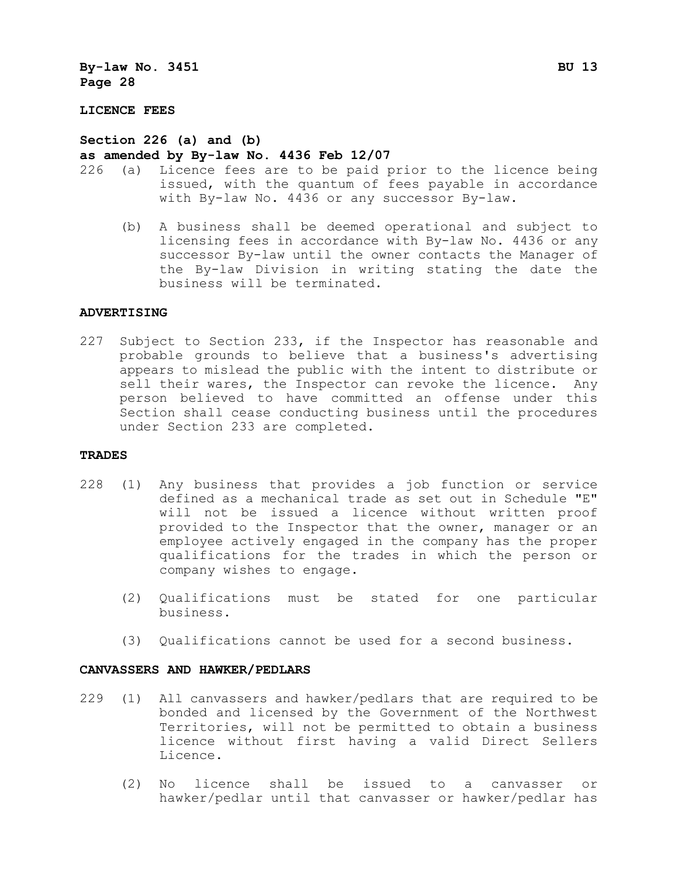#### **LICENCE FEES**

#### **Section 226 (a) and (b)**

## as amended by By-law No. 4436 Feb 12/07<br>226 (a) Licence fees are to be paid p

- (a) Licence fees are to be paid prior to the licence being issued, with the quantum of fees payable in accordance with By-law No. 4436 or any successor By-law.
	- (b) A business shall be deemed operational and subject to licensing fees in accordance with By-law No. 4436 or any successor By-law until the owner contacts the Manager of the By-law Division in writing stating the date the business will be terminated.

#### **ADVERTISING**

227 Subject to Section 233, if the Inspector has reasonable and probable grounds to believe that a business's advertising appears to mislead the public with the intent to distribute or sell their wares, the Inspector can revoke the licence. Any person believed to have committed an offense under this Section shall cease conducting business until the procedures under Section 233 are completed.

#### **TRADES**

- 228 (1) Any business that provides a job function or service defined as a mechanical trade as set out in Schedule "E" will not be issued a licence without written proof provided to the Inspector that the owner, manager or an employee actively engaged in the company has the proper qualifications for the trades in which the person or company wishes to engage.
	- (2) Qualifications must be stated for one particular business.
	- (3) Qualifications cannot be used for a second business.

#### **CANVASSERS AND HAWKER/PEDLARS**

- 229 (1) All canvassers and hawker/pedlars that are required to be bonded and licensed by the Government of the Northwest Territories, will not be permitted to obtain a business licence without first having a valid Direct Sellers Licence.
	- (2) No licence shall be issued to a canvasser or hawker/pedlar until that canvasser or hawker/pedlar has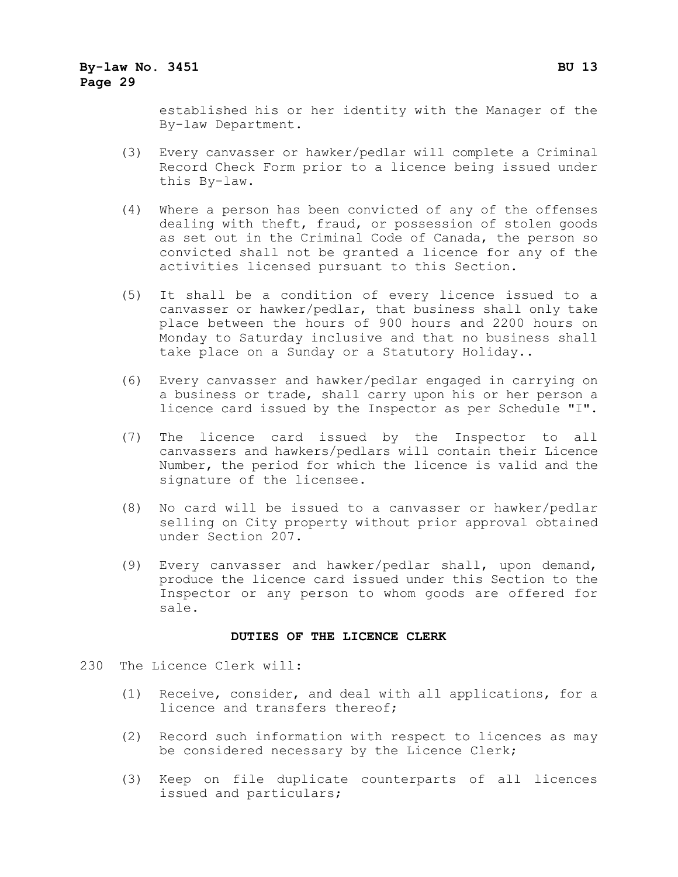established his or her identity with the Manager of the By-law Department.

- (3) Every canvasser or hawker/pedlar will complete a Criminal Record Check Form prior to a licence being issued under this By-law.
- (4) Where a person has been convicted of any of the offenses dealing with theft, fraud, or possession of stolen goods as set out in the Criminal Code of Canada, the person so convicted shall not be granted a licence for any of the activities licensed pursuant to this Section.
- (5) It shall be a condition of every licence issued to a canvasser or hawker/pedlar, that business shall only take place between the hours of 900 hours and 2200 hours on Monday to Saturday inclusive and that no business shall take place on a Sunday or a Statutory Holiday..
- (6) Every canvasser and hawker/pedlar engaged in carrying on a business or trade, shall carry upon his or her person a licence card issued by the Inspector as per Schedule "I".
- (7) The licence card issued by the Inspector to all canvassers and hawkers/pedlars will contain their Licence Number, the period for which the licence is valid and the signature of the licensee.
- (8) No card will be issued to a canvasser or hawker/pedlar selling on City property without prior approval obtained under Section 207.
- (9) Every canvasser and hawker/pedlar shall, upon demand, produce the licence card issued under this Section to the Inspector or any person to whom goods are offered for sale.

#### **DUTIES OF THE LICENCE CLERK**

- 230 The Licence Clerk will:
	- (1) Receive, consider, and deal with all applications, for a licence and transfers thereof;
	- (2) Record such information with respect to licences as may be considered necessary by the Licence Clerk;
	- (3) Keep on file duplicate counterparts of all licences issued and particulars;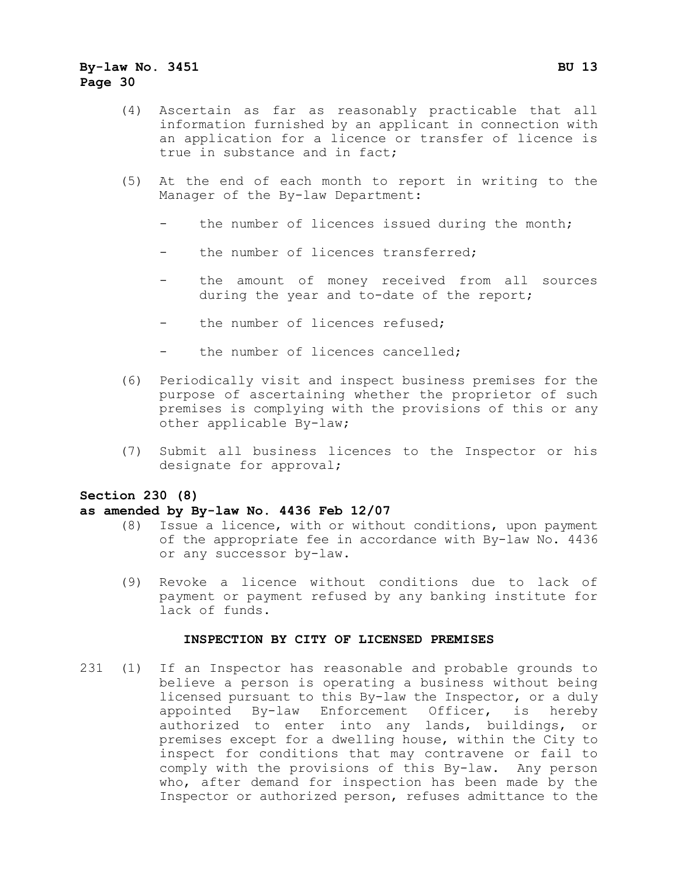- (4) Ascertain as far as reasonably practicable that all information furnished by an applicant in connection with an application for a licence or transfer of licence is true in substance and in fact;
- (5) At the end of each month to report in writing to the Manager of the By-law Department:
	- the number of licences issued during the month;
	- the number of licences transferred:
	- the amount of money received from all sources during the year and to-date of the report;
	- the number of licences refused;
	- the number of licences cancelled;
- (6) Periodically visit and inspect business premises for the purpose of ascertaining whether the proprietor of such premises is complying with the provisions of this or any other applicable By-law;
- (7) Submit all business licences to the Inspector or his designate for approval;

#### **Section 230 (8)**

#### **as amended by By-law No. 4436 Feb 12/07**

- (8) Issue a licence, with or without conditions, upon payment of the appropriate fee in accordance with By-law No. 4436 or any successor by-law.
- (9) Revoke a licence without conditions due to lack of payment or payment refused by any banking institute for lack of funds.

#### **INSPECTION BY CITY OF LICENSED PREMISES**

231 (1) If an Inspector has reasonable and probable grounds to believe a person is operating a business without being licensed pursuant to this By-law the Inspector, or a duly<br>appointed By-law Enforcement Officer, is hereby By-law Enforcement Officer, is authorized to enter into any lands, buildings, or premises except for a dwelling house, within the City to inspect for conditions that may contravene or fail to comply with the provisions of this By-law. Any person who, after demand for inspection has been made by the Inspector or authorized person, refuses admittance to the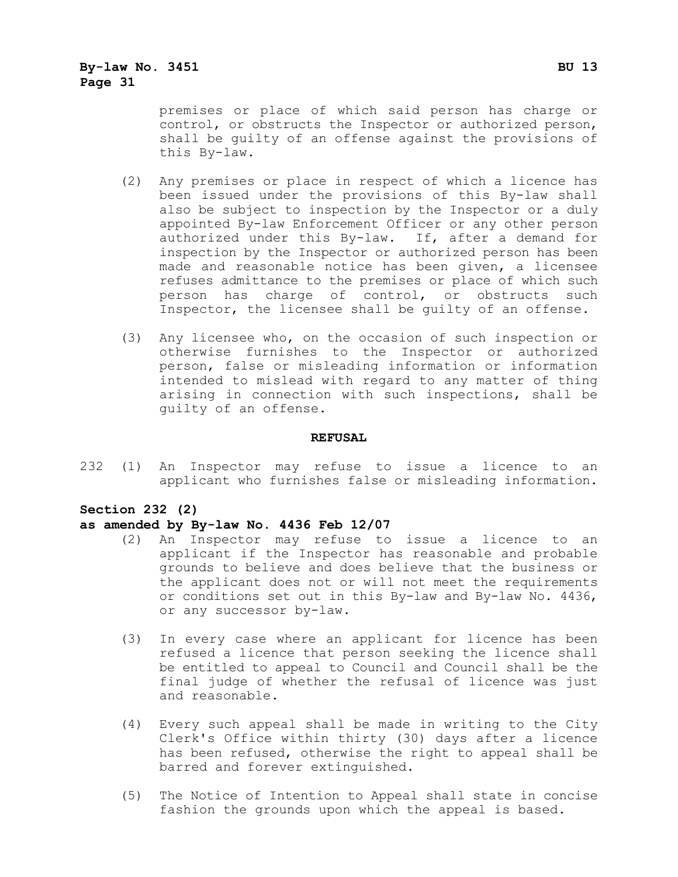premises or place of which said person has charge or control, or obstructs the Inspector or authorized person, shall be guilty of an offense against the provisions of this By-law.

- (2) Any premises or place in respect of which a licence has been issued under the provisions of this By-law shall also be subject to inspection by the Inspector or a duly appointed By-law Enforcement Officer or any other person authorized under this By-law. If, after a demand for inspection by the Inspector or authorized person has been made and reasonable notice has been given, a licensee refuses admittance to the premises or place of which such person has charge of control, or obstructs such Inspector, the licensee shall be guilty of an offense.
- (3) Any licensee who, on the occasion of such inspection or otherwise furnishes to the Inspector or authorized person, false or misleading information or information intended to mislead with regard to any matter of thing arising in connection with such inspections, shall be guilty of an offense.

#### **REFUSAL**

232 (1) An Inspector may refuse to issue a licence to an applicant who furnishes false or misleading information.

#### **Section 232 (2)**

#### **as amended by By-law No. 4436 Feb 12/07**

- (2) An Inspector may refuse to issue a licence to an applicant if the Inspector has reasonable and probable grounds to believe and does believe that the business or the applicant does not or will not meet the requirements or conditions set out in this By-law and By-law No. 4436, or any successor by-law.
- (3) In every case where an applicant for licence has been refused a licence that person seeking the licence shall be entitled to appeal to Council and Council shall be the final judge of whether the refusal of licence was just and reasonable.
- (4) Every such appeal shall be made in writing to the City Clerk's Office within thirty (30) days after a licence has been refused, otherwise the right to appeal shall be barred and forever extinguished.
- (5) The Notice of Intention to Appeal shall state in concise fashion the grounds upon which the appeal is based.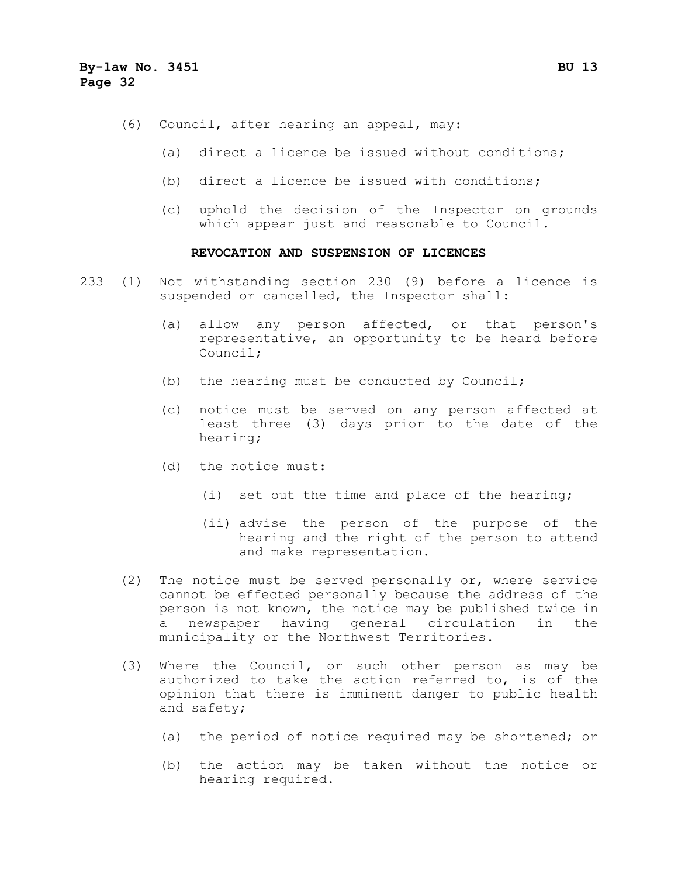- (6) Council, after hearing an appeal, may:
	- (a) direct a licence be issued without conditions;
	- (b) direct a licence be issued with conditions;
	- (c) uphold the decision of the Inspector on grounds which appear just and reasonable to Council.

#### **REVOCATION AND SUSPENSION OF LICENCES**

- 233 (1) Not withstanding section 230 (9) before a licence is suspended or cancelled, the Inspector shall:
	- (a) allow any person affected, or that person's representative, an opportunity to be heard before Council;
	- (b) the hearing must be conducted by Council;
	- (c) notice must be served on any person affected at least three (3) days prior to the date of the hearing;
	- (d) the notice must:
		- (i) set out the time and place of the hearing;
		- (ii) advise the person of the purpose of the hearing and the right of the person to attend and make representation.
	- (2) The notice must be served personally or, where service cannot be effected personally because the address of the person is not known, the notice may be published twice in a newspaper having general circulation in the municipality or the Northwest Territories.
	- (3) Where the Council, or such other person as may be authorized to take the action referred to, is of the opinion that there is imminent danger to public health and safety;
		- (a) the period of notice required may be shortened; or
		- (b) the action may be taken without the notice or hearing required.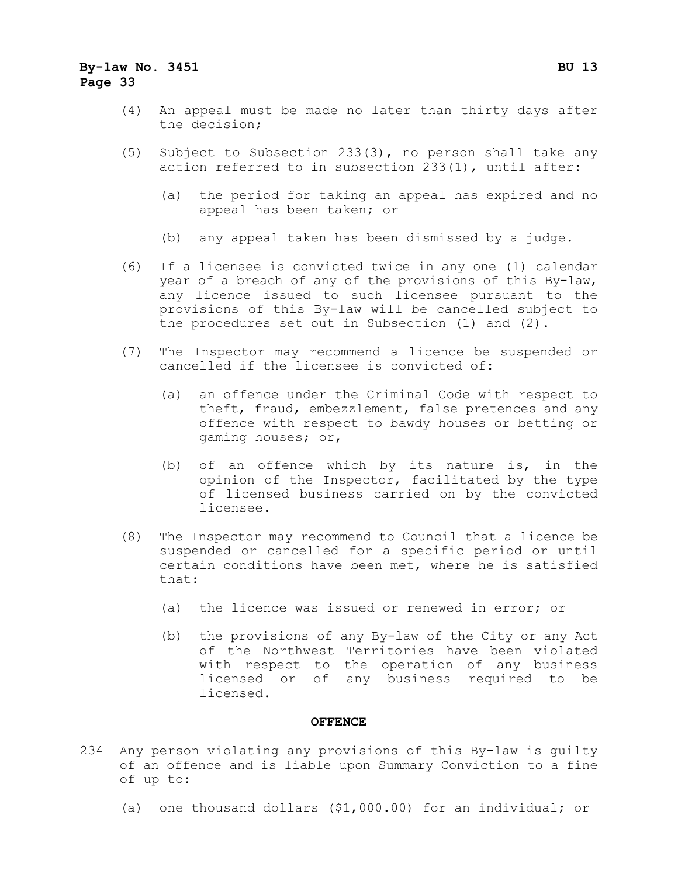- (4) An appeal must be made no later than thirty days after the decision;
- (5) Subject to Subsection 233(3), no person shall take any action referred to in subsection 233(1), until after:
	- (a) the period for taking an appeal has expired and no appeal has been taken; or
	- (b) any appeal taken has been dismissed by a judge.
- (6) If a licensee is convicted twice in any one (1) calendar year of a breach of any of the provisions of this By-law, any licence issued to such licensee pursuant to the provisions of this By-law will be cancelled subject to the procedures set out in Subsection (1) and (2).
- (7) The Inspector may recommend a licence be suspended or cancelled if the licensee is convicted of:
	- (a) an offence under the Criminal Code with respect to theft, fraud, embezzlement, false pretences and any offence with respect to bawdy houses or betting or gaming houses; or,
	- (b) of an offence which by its nature is, in the opinion of the Inspector, facilitated by the type of licensed business carried on by the convicted licensee.
- (8) The Inspector may recommend to Council that a licence be suspended or cancelled for a specific period or until certain conditions have been met, where he is satisfied that:
	- (a) the licence was issued or renewed in error; or
	- (b) the provisions of any By-law of the City or any Act of the Northwest Territories have been violated with respect to the operation of any business licensed or of any business required to be licensed.

#### **OFFENCE**

- 234 Any person violating any provisions of this By-law is guilty of an offence and is liable upon Summary Conviction to a fine of up to:
	- (a) one thousand dollars (\$1,000.00) for an individual; or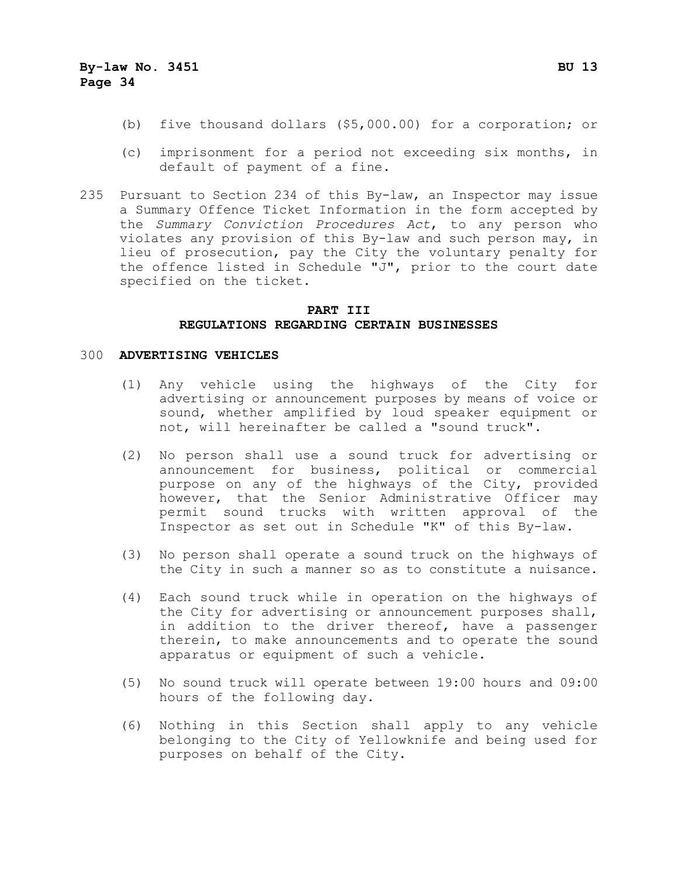- (b) five thousand dollars (\$5,000.00) for a corporation; or
- (c) imprisonment for a period not exceeding six months, in default of payment of a fine.
- 235 Pursuant to Section 234 of this By-law, an Inspector may issue a Summary Offence Ticket Information in the form accepted by the *Summary Conviction Procedures Act*, to any person who violates any provision of this By-law and such person may, in lieu of prosecution, pay the City the voluntary penalty for the offence listed in Schedule "J", prior to the court date specified on the ticket.

#### **PART III REGULATIONS REGARDING CERTAIN BUSINESSES**

#### 300 **ADVERTISING VEHICLES**

- (1) Any vehicle using the highways of the City for advertising or announcement purposes by means of voice or sound, whether amplified by loud speaker equipment or not, will hereinafter be called a "sound truck".
- (2) No person shall use a sound truck for advertising or announcement for business, political or commercial purpose on any of the highways of the City, provided however, that the Senior Administrative Officer may permit sound trucks with written approval of the Inspector as set out in Schedule "K" of this By-law.
- (3) No person shall operate a sound truck on the highways of the City in such a manner so as to constitute a nuisance.
- (4) Each sound truck while in operation on the highways of the City for advertising or announcement purposes shall, in addition to the driver thereof, have a passenger therein, to make announcements and to operate the sound apparatus or equipment of such a vehicle.
- (5) No sound truck will operate between 19:00 hours and 09:00 hours of the following day.
- (6) Nothing in this Section shall apply to any vehicle belonging to the City of Yellowknife and being used for purposes on behalf of the City.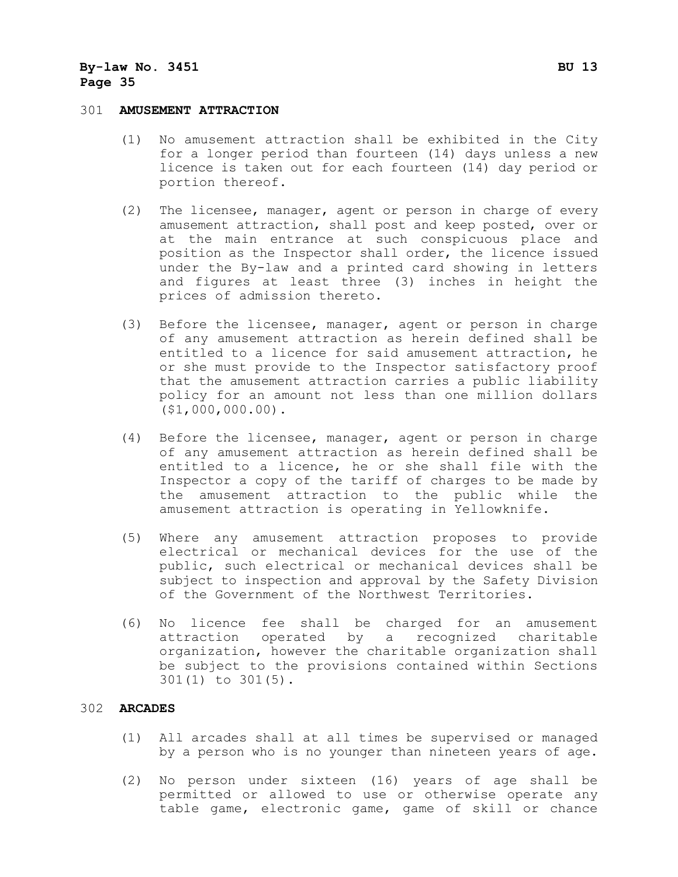#### 301 **AMUSEMENT ATTRACTION**

- (1) No amusement attraction shall be exhibited in the City for a longer period than fourteen (14) days unless a new licence is taken out for each fourteen (14) day period or portion thereof.
- (2) The licensee, manager, agent or person in charge of every amusement attraction, shall post and keep posted, over or at the main entrance at such conspicuous place and position as the Inspector shall order, the licence issued under the By-law and a printed card showing in letters and figures at least three (3) inches in height the prices of admission thereto.
- (3) Before the licensee, manager, agent or person in charge of any amusement attraction as herein defined shall be entitled to a licence for said amusement attraction, he or she must provide to the Inspector satisfactory proof that the amusement attraction carries a public liability policy for an amount not less than one million dollars (\$1,000,000.00).
- (4) Before the licensee, manager, agent or person in charge of any amusement attraction as herein defined shall be entitled to a licence, he or she shall file with the Inspector a copy of the tariff of charges to be made by the amusement attraction to the public while the amusement attraction is operating in Yellowknife.
- (5) Where any amusement attraction proposes to provide electrical or mechanical devices for the use of the public, such electrical or mechanical devices shall be subject to inspection and approval by the Safety Division of the Government of the Northwest Territories.
- (6) No licence fee shall be charged for an amusement attraction operated by a recognized charitable organization, however the charitable organization shall be subject to the provisions contained within Sections 301(1) to 301(5).

#### 302 **ARCADES**

- (1) All arcades shall at all times be supervised or managed by a person who is no younger than nineteen years of age.
- (2) No person under sixteen (16) years of age shall be permitted or allowed to use or otherwise operate any table game, electronic game, game of skill or chance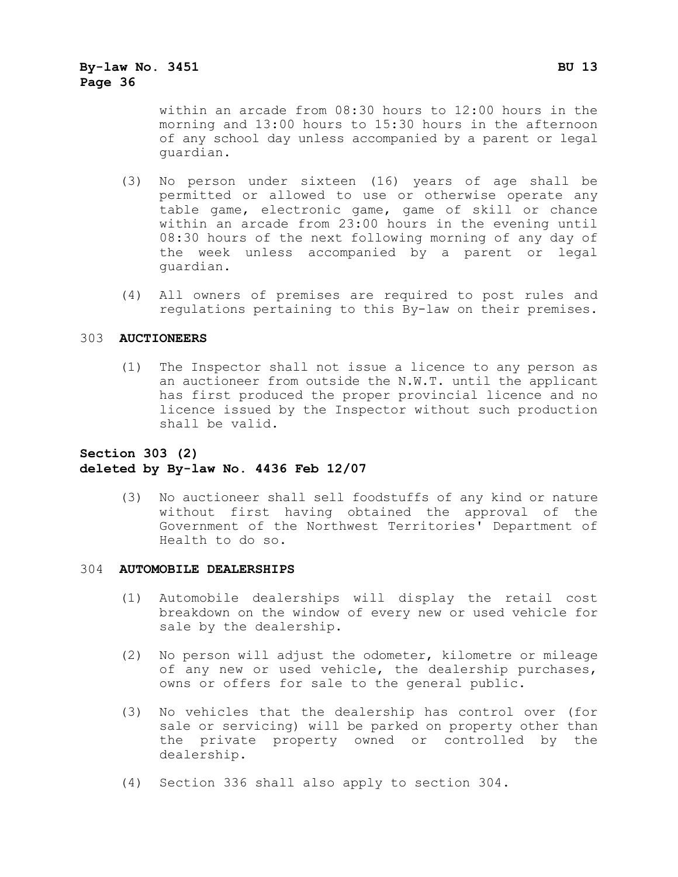within an arcade from 08:30 hours to 12:00 hours in the morning and 13:00 hours to 15:30 hours in the afternoon of any school day unless accompanied by a parent or legal guardian.

- (3) No person under sixteen (16) years of age shall be permitted or allowed to use or otherwise operate any table game, electronic game, game of skill or chance within an arcade from 23:00 hours in the evening until 08:30 hours of the next following morning of any day of the week unless accompanied by a parent or legal guardian.
- (4) All owners of premises are required to post rules and regulations pertaining to this By-law on their premises.

#### 303 **AUCTIONEERS**

(1) The Inspector shall not issue a licence to any person as an auctioneer from outside the N.W.T. until the applicant has first produced the proper provincial licence and no licence issued by the Inspector without such production shall be valid.

#### **Section 303 (2) deleted by By-law No. 4436 Feb 12/07**

(3) No auctioneer shall sell foodstuffs of any kind or nature without first having obtained the approval of the Government of the Northwest Territories' Department of Health to do so.

#### 304 **AUTOMOBILE DEALERSHIPS**

- (1) Automobile dealerships will display the retail cost breakdown on the window of every new or used vehicle for sale by the dealership.
- (2) No person will adjust the odometer, kilometre or mileage of any new or used vehicle, the dealership purchases, owns or offers for sale to the general public.
- (3) No vehicles that the dealership has control over (for sale or servicing) will be parked on property other than the private property owned or controlled by the dealership.
- (4) Section 336 shall also apply to section 304.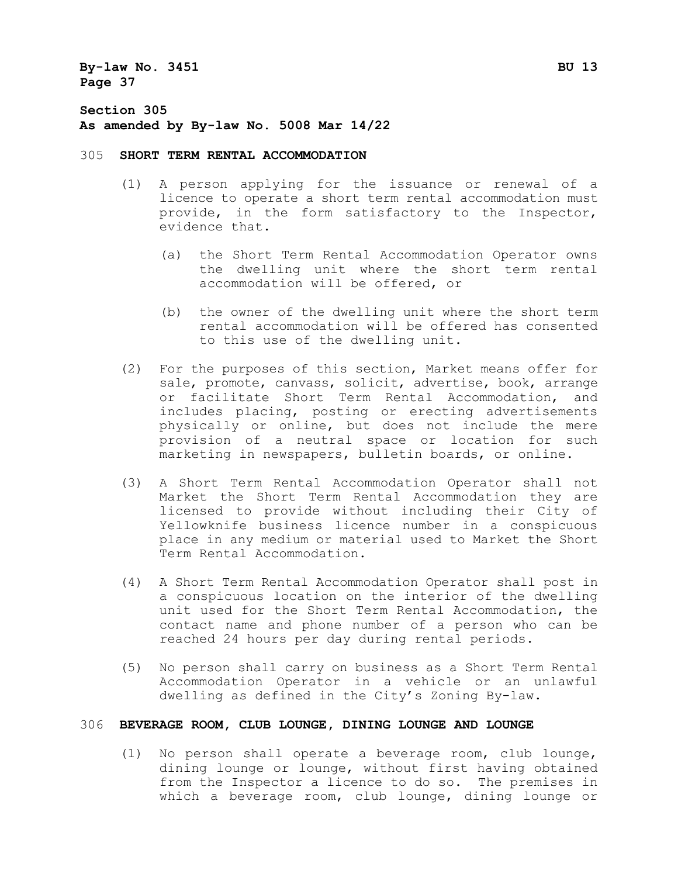**Section 305 As amended by By-law No. 5008 Mar 14/22**

#### 305 **SHORT TERM RENTAL ACCOMMODATION**

- (1) A person applying for the issuance or renewal of a licence to operate a short term rental accommodation must provide, in the form satisfactory to the Inspector, evidence that.
	- (a) the Short Term Rental Accommodation Operator owns the dwelling unit where the short term rental accommodation will be offered, or
	- (b) the owner of the dwelling unit where the short term rental accommodation will be offered has consented to this use of the dwelling unit.
- (2) For the purposes of this section, Market means offer for sale, promote, canvass, solicit, advertise, book, arrange<br>or facilitate Short Term Rental Accommodation, and or facilitate Short Term Rental Accommodation, includes placing, posting or erecting advertisements physically or online, but does not include the mere provision of a neutral space or location for such marketing in newspapers, bulletin boards, or online.
- (3) A Short Term Rental Accommodation Operator shall not Market the Short Term Rental Accommodation they are licensed to provide without including their City of Yellowknife business licence number in a conspicuous place in any medium or material used to Market the Short Term Rental Accommodation.
- (4) A Short Term Rental Accommodation Operator shall post in a conspicuous location on the interior of the dwelling unit used for the Short Term Rental Accommodation, the contact name and phone number of a person who can be reached 24 hours per day during rental periods.
- (5) No person shall carry on business as a Short Term Rental Accommodation Operator in a vehicle or an unlawful dwelling as defined in the City's Zoning By-law.

#### 306 **BEVERAGE ROOM, CLUB LOUNGE, DINING LOUNGE AND LOUNGE**

(1) No person shall operate a beverage room, club lounge, dining lounge or lounge, without first having obtained from the Inspector a licence to do so. The premises in which a beverage room, club lounge, dining lounge or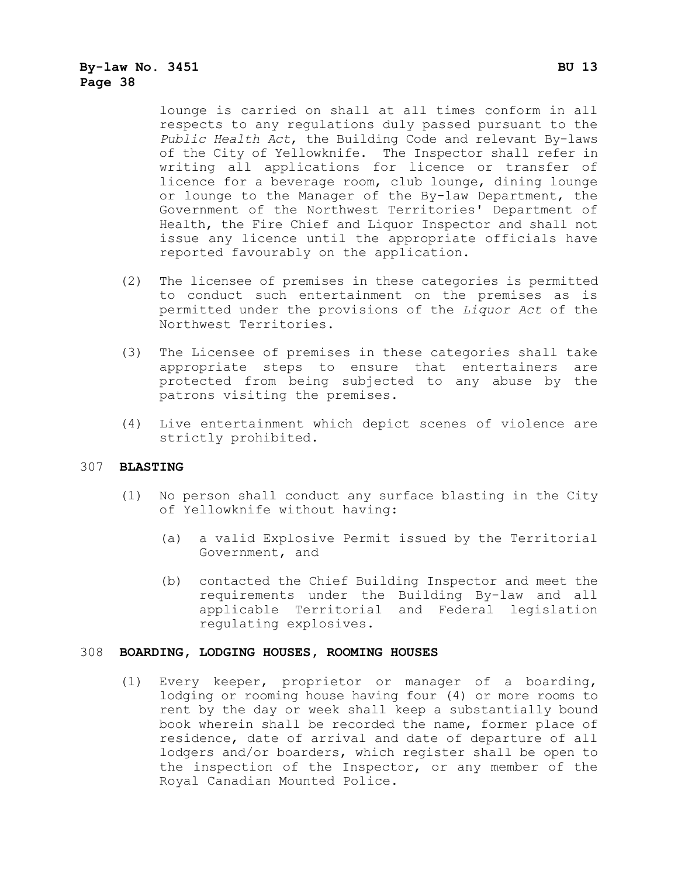lounge is carried on shall at all times conform in all respects to any regulations duly passed pursuant to the *Public Health Act*, the Building Code and relevant By-laws of the City of Yellowknife. The Inspector shall refer in writing all applications for licence or transfer of licence for a beverage room, club lounge, dining lounge or lounge to the Manager of the By-law Department, the Government of the Northwest Territories' Department of Health, the Fire Chief and Liquor Inspector and shall not issue any licence until the appropriate officials have reported favourably on the application.

- (2) The licensee of premises in these categories is permitted to conduct such entertainment on the premises as is permitted under the provisions of the *Liquor Act* of the Northwest Territories.
- (3) The Licensee of premises in these categories shall take appropriate steps to ensure that entertainers are protected from being subjected to any abuse by the patrons visiting the premises.
- (4) Live entertainment which depict scenes of violence are strictly prohibited.

#### 307 **BLASTING**

- (1) No person shall conduct any surface blasting in the City of Yellowknife without having:
	- (a) a valid Explosive Permit issued by the Territorial Government, and
	- (b) contacted the Chief Building Inspector and meet the requirements under the Building By-law and all applicable Territorial and Federal legislation regulating explosives.

#### 308 **BOARDING, LODGING HOUSES, ROOMING HOUSES**

(1) Every keeper, proprietor or manager of a boarding, lodging or rooming house having four (4) or more rooms to rent by the day or week shall keep a substantially bound book wherein shall be recorded the name, former place of residence, date of arrival and date of departure of all lodgers and/or boarders, which register shall be open to the inspection of the Inspector, or any member of the Royal Canadian Mounted Police.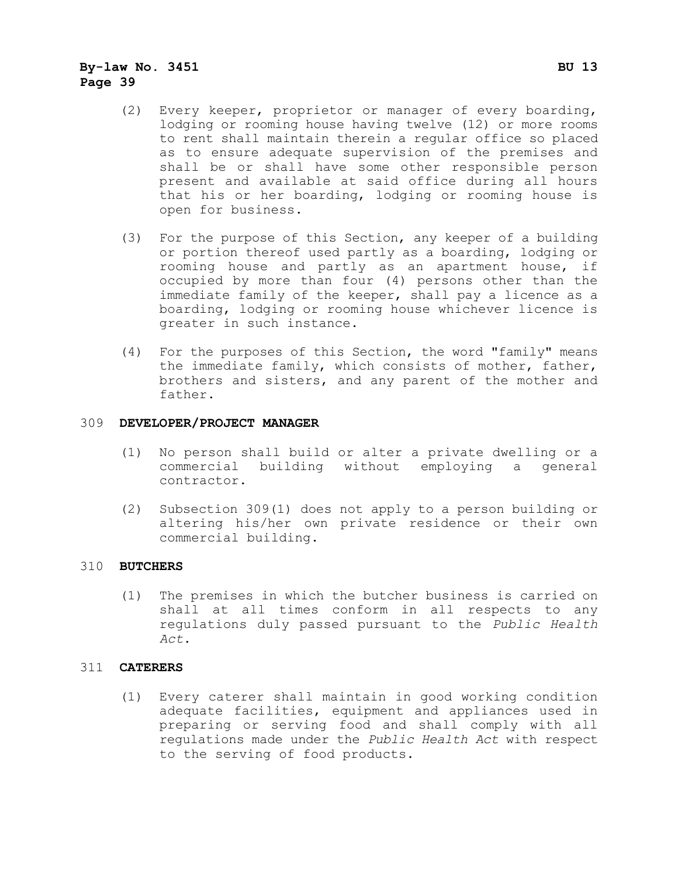- (2) Every keeper, proprietor or manager of every boarding, lodging or rooming house having twelve (12) or more rooms to rent shall maintain therein a regular office so placed as to ensure adequate supervision of the premises and shall be or shall have some other responsible person present and available at said office during all hours that his or her boarding, lodging or rooming house is open for business.
- (3) For the purpose of this Section, any keeper of a building or portion thereof used partly as a boarding, lodging or rooming house and partly as an apartment house, if occupied by more than four (4) persons other than the immediate family of the keeper, shall pay a licence as a boarding, lodging or rooming house whichever licence is greater in such instance.
- (4) For the purposes of this Section, the word "family" means the immediate family, which consists of mother, father, brothers and sisters, and any parent of the mother and father.

#### 309 **DEVELOPER/PROJECT MANAGER**

- (1) No person shall build or alter a private dwelling or a commercial building without employing a general contractor.
- (2) Subsection 309(1) does not apply to a person building or altering his/her own private residence or their own commercial building.

#### 310 **BUTCHERS**

(1) The premises in which the butcher business is carried on shall at all times conform in all respects to any regulations duly passed pursuant to the *Public Health Act*.

#### 311 **CATERERS**

(1) Every caterer shall maintain in good working condition adequate facilities, equipment and appliances used in preparing or serving food and shall comply with all regulations made under the *Public Health Act* with respect to the serving of food products.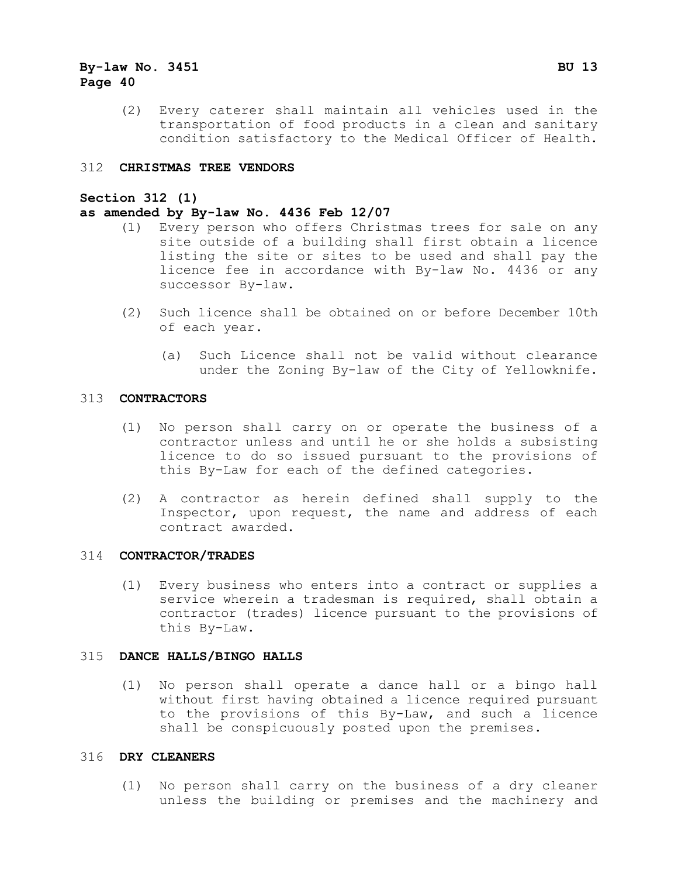(2) Every caterer shall maintain all vehicles used in the transportation of food products in a clean and sanitary condition satisfactory to the Medical Officer of Health.

#### 312 **CHRISTMAS TREE VENDORS**

#### **Section 312 (1)**

#### **as amended by By-law No. 4436 Feb 12/07**

- (1) Every person who offers Christmas trees for sale on any site outside of a building shall first obtain a licence listing the site or sites to be used and shall pay the licence fee in accordance with By-law No. 4436 or any successor By-law.
- (2) Such licence shall be obtained on or before December 10th of each year.
	- (a) Such Licence shall not be valid without clearance under the Zoning By-law of the City of Yellowknife.

#### 313 **CONTRACTORS**

- (1) No person shall carry on or operate the business of a contractor unless and until he or she holds a subsisting licence to do so issued pursuant to the provisions of this By-Law for each of the defined categories.
- (2) A contractor as herein defined shall supply to the Inspector, upon request, the name and address of each contract awarded.

#### 314 **CONTRACTOR/TRADES**

(1) Every business who enters into a contract or supplies a service wherein a tradesman is required, shall obtain a contractor (trades) licence pursuant to the provisions of this By-Law.

#### 315 **DANCE HALLS/BINGO HALLS**

(1) No person shall operate a dance hall or a bingo hall without first having obtained a licence required pursuant to the provisions of this By-Law, and such a licence shall be conspicuously posted upon the premises.

#### 316 **DRY CLEANERS**

(1) No person shall carry on the business of a dry cleaner unless the building or premises and the machinery and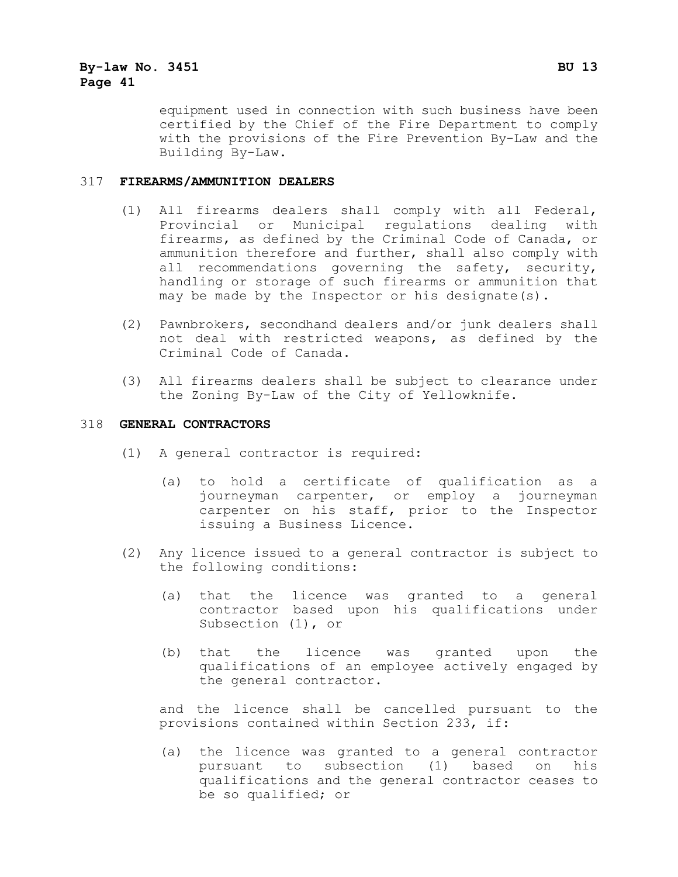equipment used in connection with such business have been certified by the Chief of the Fire Department to comply with the provisions of the Fire Prevention By-Law and the Building By-Law.

#### 317 **FIREARMS/AMMUNITION DEALERS**

- (1) All firearms dealers shall comply with all Federal, Provincial or Municipal regulations dealing with firearms, as defined by the Criminal Code of Canada, or ammunition therefore and further, shall also comply with<br>all recommendations governing the safety, security, recommendations governing the safety, security, handling or storage of such firearms or ammunition that may be made by the Inspector or his designate(s).
- (2) Pawnbrokers, secondhand dealers and/or junk dealers shall not deal with restricted weapons, as defined by the Criminal Code of Canada.
- (3) All firearms dealers shall be subject to clearance under the Zoning By-Law of the City of Yellowknife.

#### 318 **GENERAL CONTRACTORS**

- (1) A general contractor is required:
	- (a) to hold a certificate of qualification as a journeyman carpenter, or employ a journeyman carpenter on his staff, prior to the Inspector issuing a Business Licence.
- (2) Any licence issued to a general contractor is subject to the following conditions:
	- (a) that the licence was granted to a general contractor based upon his qualifications under Subsection (1), or
	- (b) that the licence was granted upon the qualifications of an employee actively engaged by the general contractor.

and the licence shall be cancelled pursuant to the provisions contained within Section 233, if:

(a) the licence was granted to a general contractor pursuant to subsection (1) based on his qualifications and the general contractor ceases to be so qualified; or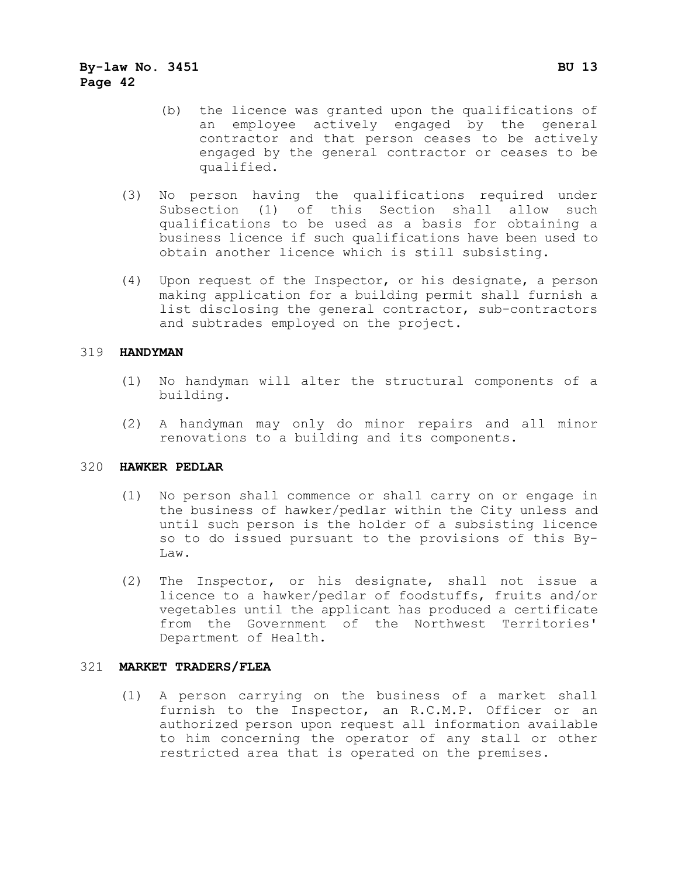- (b) the licence was granted upon the qualifications of an employee actively engaged by the general contractor and that person ceases to be actively engaged by the general contractor or ceases to be qualified.
- (3) No person having the qualifications required under Subsection (1) of this Section shall allow such qualifications to be used as a basis for obtaining a business licence if such qualifications have been used to obtain another licence which is still subsisting.
- (4) Upon request of the Inspector, or his designate, a person making application for a building permit shall furnish a list disclosing the general contractor, sub-contractors and subtrades employed on the project.

#### 319 **HANDYMAN**

- (1) No handyman will alter the structural components of a building.
- (2) A handyman may only do minor repairs and all minor renovations to a building and its components.

#### 320 **HAWKER PEDLAR**

- (1) No person shall commence or shall carry on or engage in the business of hawker/pedlar within the City unless and until such person is the holder of a subsisting licence so to do issued pursuant to the provisions of this By-Law.
- (2) The Inspector, or his designate, shall not issue a licence to a hawker/pedlar of foodstuffs, fruits and/or vegetables until the applicant has produced a certificate from the Government of the Northwest Territories' Department of Health.

#### 321 **MARKET TRADERS/FLEA**

(1) A person carrying on the business of a market shall furnish to the Inspector, an R.C.M.P. Officer or an authorized person upon request all information available to him concerning the operator of any stall or other restricted area that is operated on the premises.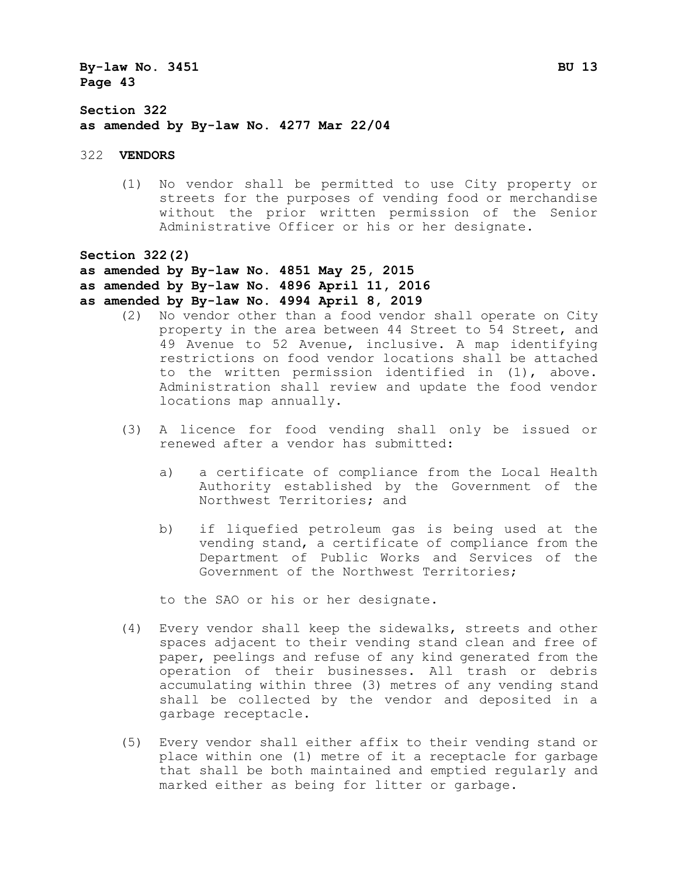**Section 322 as amended by By-law No. 4277 Mar 22/04**

322 **VENDORS**

(1) No vendor shall be permitted to use City property or streets for the purposes of vending food or merchandise without the prior written permission of the Senior Administrative Officer or his or her designate.

**Section 322(2)**

- **as amended by By-law No. 4851 May 25, 2015**
- **as amended by By-law No. 4896 April 11, 2016**
- **as amended by By-law No. 4994 April 8, 2019**
	- (2) No vendor other than a food vendor shall operate on City property in the area between 44 Street to 54 Street, and 49 Avenue to 52 Avenue, inclusive. A map identifying restrictions on food vendor locations shall be attached to the written permission identified in (1), above. Administration shall review and update the food vendor locations map annually.
	- (3) A licence for food vending shall only be issued or renewed after a vendor has submitted:
		- a) a certificate of compliance from the Local Health Authority established by the Government of the Northwest Territories; and
		- b) if liquefied petroleum gas is being used at the vending stand, a certificate of compliance from the Department of Public Works and Services of the Government of the Northwest Territories;

to the SAO or his or her designate.

- (4) Every vendor shall keep the sidewalks, streets and other spaces adjacent to their vending stand clean and free of paper, peelings and refuse of any kind generated from the operation of their businesses. All trash or debris accumulating within three (3) metres of any vending stand shall be collected by the vendor and deposited in a garbage receptacle.
- (5) Every vendor shall either affix to their vending stand or place within one (1) metre of it a receptacle for garbage that shall be both maintained and emptied regularly and marked either as being for litter or garbage.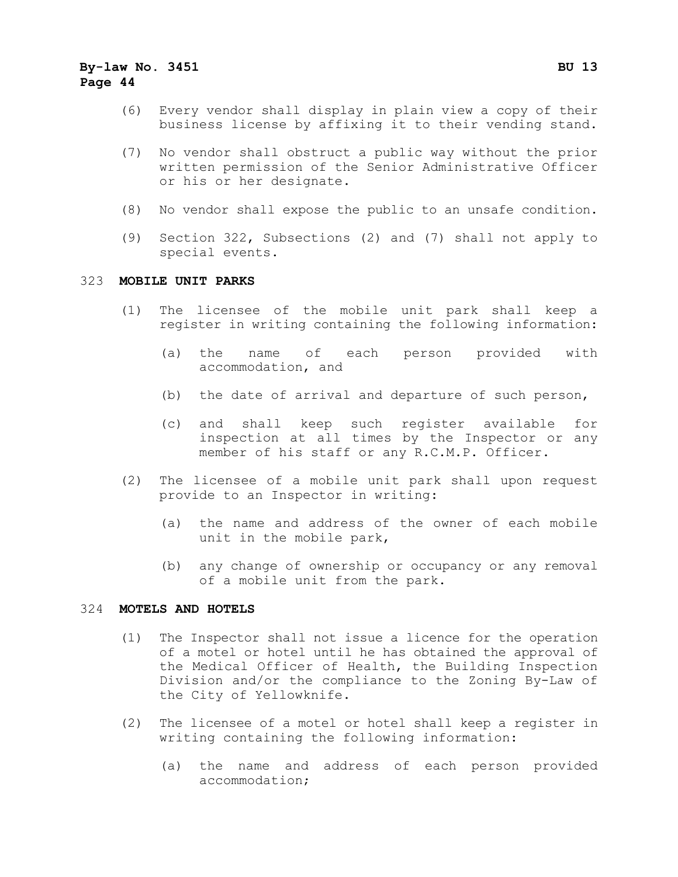- (6) Every vendor shall display in plain view a copy of their business license by affixing it to their vending stand.
- (7) No vendor shall obstruct a public way without the prior written permission of the Senior Administrative Officer or his or her designate.
- (8) No vendor shall expose the public to an unsafe condition.
- (9) Section 322, Subsections (2) and (7) shall not apply to special events.

#### 323 **MOBILE UNIT PARKS**

- (1) The licensee of the mobile unit park shall keep a register in writing containing the following information:
	- (a) the name of each person provided with accommodation, and
	- (b) the date of arrival and departure of such person,
	- (c) and shall keep such register available for inspection at all times by the Inspector or any member of his staff or any R.C.M.P. Officer.
- (2) The licensee of a mobile unit park shall upon request provide to an Inspector in writing:
	- (a) the name and address of the owner of each mobile unit in the mobile park,
	- (b) any change of ownership or occupancy or any removal of a mobile unit from the park.

#### 324 **MOTELS AND HOTELS**

- (1) The Inspector shall not issue a licence for the operation of a motel or hotel until he has obtained the approval of the Medical Officer of Health, the Building Inspection Division and/or the compliance to the Zoning By-Law of the City of Yellowknife.
- (2) The licensee of a motel or hotel shall keep a register in writing containing the following information:
	- (a) the name and address of each person provided accommodation;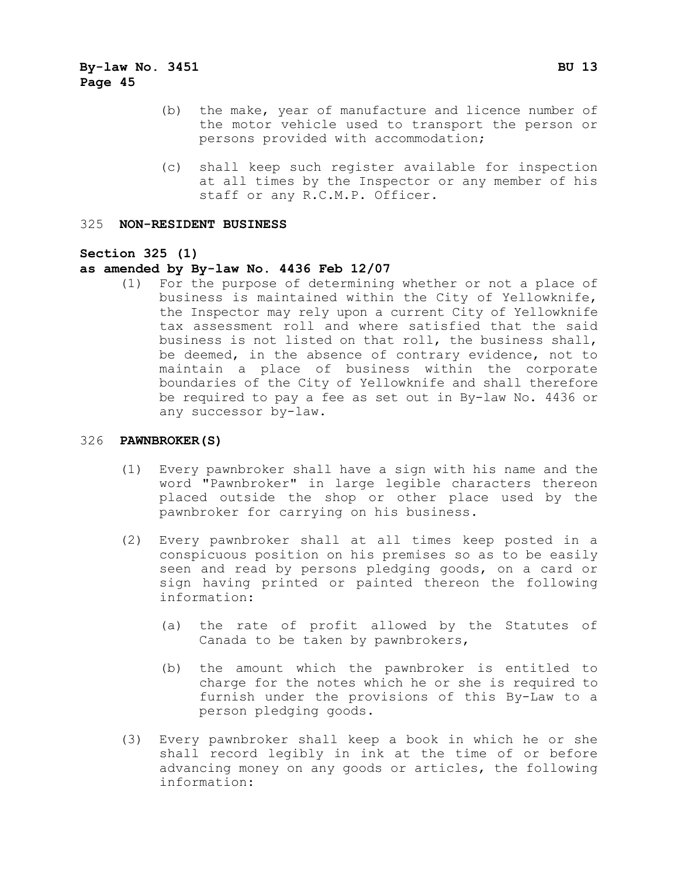- (b) the make, year of manufacture and licence number of the motor vehicle used to transport the person or persons provided with accommodation;
- (c) shall keep such register available for inspection at all times by the Inspector or any member of his staff or any R.C.M.P. Officer.

#### 325 **NON-RESIDENT BUSINESS**

#### **Section 325 (1)**

#### **as amended by By-law No. 4436 Feb 12/07**

(1) For the purpose of determining whether or not a place of business is maintained within the City of Yellowknife, the Inspector may rely upon a current City of Yellowknife tax assessment roll and where satisfied that the said business is not listed on that roll, the business shall, be deemed, in the absence of contrary evidence, not to maintain a place of business within the corporate boundaries of the City of Yellowknife and shall therefore be required to pay a fee as set out in By-law No. 4436 or any successor by-law.

#### 326 **PAWNBROKER(S)**

- (1) Every pawnbroker shall have a sign with his name and the word "Pawnbroker" in large legible characters thereon placed outside the shop or other place used by the pawnbroker for carrying on his business.
- (2) Every pawnbroker shall at all times keep posted in a conspicuous position on his premises so as to be easily seen and read by persons pledging goods, on a card or sign having printed or painted thereon the following information:
	- (a) the rate of profit allowed by the Statutes of Canada to be taken by pawnbrokers,
	- (b) the amount which the pawnbroker is entitled to charge for the notes which he or she is required to furnish under the provisions of this By-Law to a person pledging goods.
- (3) Every pawnbroker shall keep a book in which he or she shall record legibly in ink at the time of or before advancing money on any goods or articles, the following information: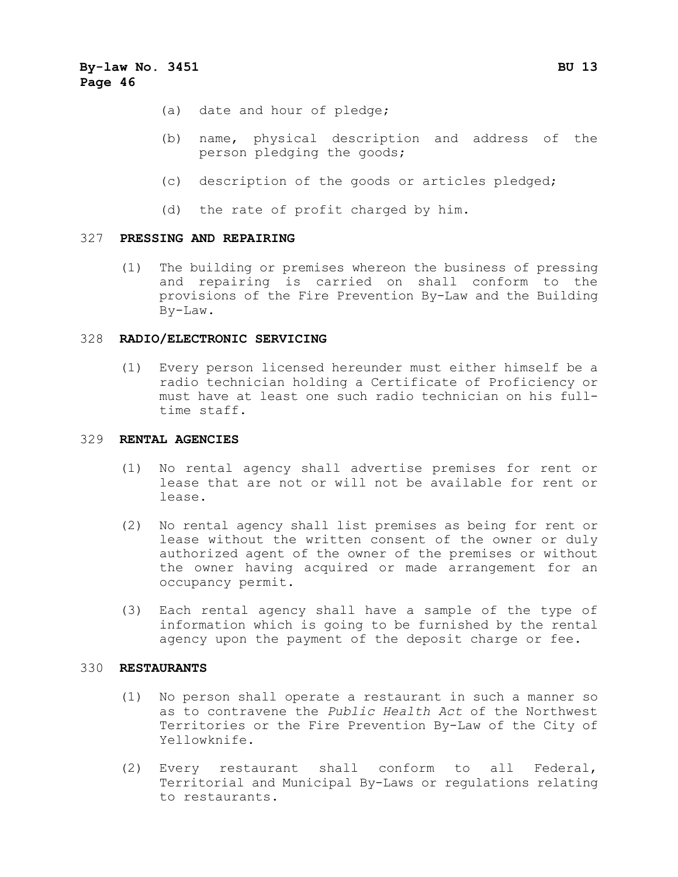- (a) date and hour of pledge;
- (b) name, physical description and address of the person pledging the goods;
- (c) description of the goods or articles pledged;
- (d) the rate of profit charged by him.

#### 327 **PRESSING AND REPAIRING**

(1) The building or premises whereon the business of pressing and repairing is carried on shall conform to the provisions of the Fire Prevention By-Law and the Building By-Law.

#### 328 **RADIO/ELECTRONIC SERVICING**

(1) Every person licensed hereunder must either himself be a radio technician holding a Certificate of Proficiency or must have at least one such radio technician on his fulltime staff.

#### 329 **RENTAL AGENCIES**

- (1) No rental agency shall advertise premises for rent or lease that are not or will not be available for rent or lease.
- (2) No rental agency shall list premises as being for rent or lease without the written consent of the owner or duly authorized agent of the owner of the premises or without the owner having acquired or made arrangement for an occupancy permit.
- (3) Each rental agency shall have a sample of the type of information which is going to be furnished by the rental agency upon the payment of the deposit charge or fee.

#### 330 **RESTAURANTS**

- (1) No person shall operate a restaurant in such a manner so as to contravene the *Public Health Act* of the Northwest Territories or the Fire Prevention By-Law of the City of Yellowknife.
- (2) Every restaurant shall conform to all Federal, Territorial and Municipal By-Laws or regulations relating to restaurants.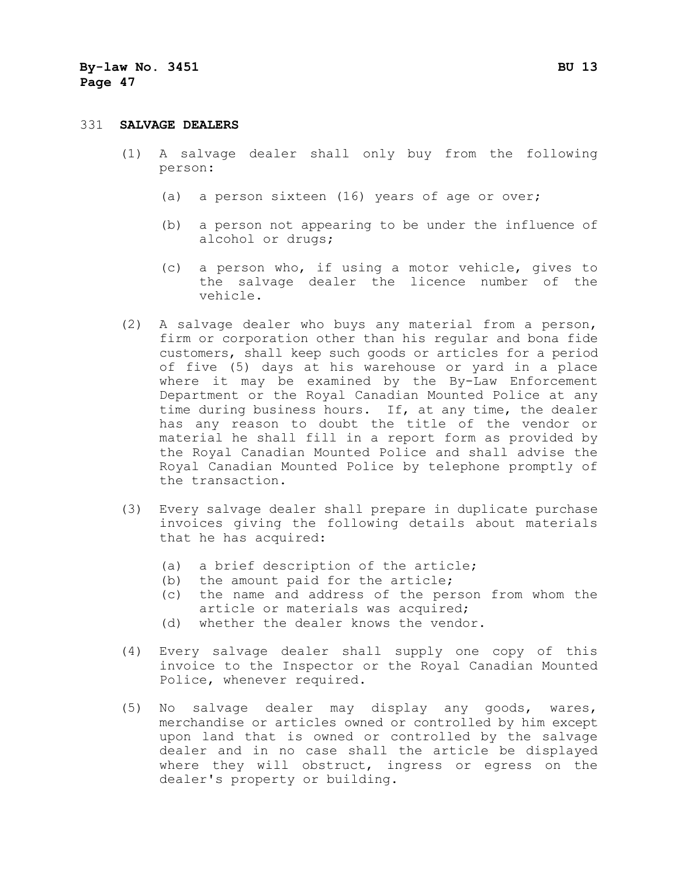#### 331 **SALVAGE DEALERS**

- (1) A salvage dealer shall only buy from the following person:
	- (a) a person sixteen (16) years of age or over;
	- (b) a person not appearing to be under the influence of alcohol or drugs;
	- (c) a person who, if using a motor vehicle, gives to the salvage dealer the licence number of the vehicle.
- (2) A salvage dealer who buys any material from a person, firm or corporation other than his regular and bona fide customers, shall keep such goods or articles for a period of five (5) days at his warehouse or yard in a place where it may be examined by the By-Law Enforcement Department or the Royal Canadian Mounted Police at any time during business hours. If, at any time, the dealer has any reason to doubt the title of the vendor or material he shall fill in a report form as provided by the Royal Canadian Mounted Police and shall advise the Royal Canadian Mounted Police by telephone promptly of the transaction.
- (3) Every salvage dealer shall prepare in duplicate purchase invoices giving the following details about materials that he has acquired:
	- (a) a brief description of the article;
	- (b) the amount paid for the article;
	- (c) the name and address of the person from whom the article or materials was acquired;
	- (d) whether the dealer knows the vendor.
- (4) Every salvage dealer shall supply one copy of this invoice to the Inspector or the Royal Canadian Mounted Police, whenever required.
- (5) No salvage dealer may display any goods, wares, merchandise or articles owned or controlled by him except upon land that is owned or controlled by the salvage dealer and in no case shall the article be displayed where they will obstruct, ingress or egress on the dealer's property or building.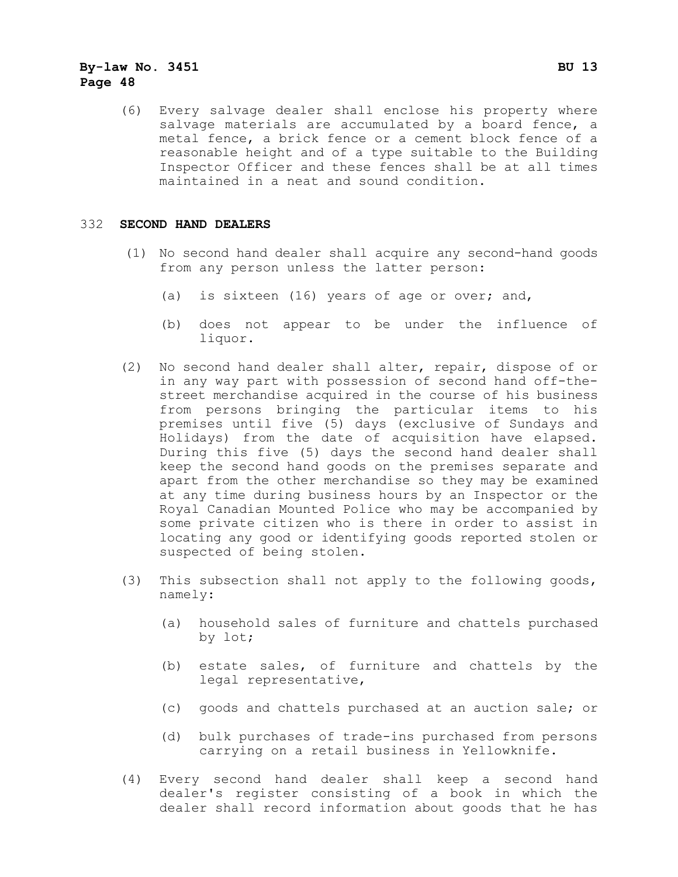(6) Every salvage dealer shall enclose his property where salvage materials are accumulated by a board fence, a metal fence, a brick fence or a cement block fence of a reasonable height and of a type suitable to the Building Inspector Officer and these fences shall be at all times maintained in a neat and sound condition.

#### 332 **SECOND HAND DEALERS**

- (1) No second hand dealer shall acquire any second-hand goods from any person unless the latter person:
	- (a) is sixteen (16) years of age or over; and,
	- (b) does not appear to be under the influence of liquor.
- (2) No second hand dealer shall alter, repair, dispose of or in any way part with possession of second hand off-thestreet merchandise acquired in the course of his business from persons bringing the particular items to his premises until five (5) days (exclusive of Sundays and Holidays) from the date of acquisition have elapsed. During this five (5) days the second hand dealer shall keep the second hand goods on the premises separate and apart from the other merchandise so they may be examined at any time during business hours by an Inspector or the Royal Canadian Mounted Police who may be accompanied by some private citizen who is there in order to assist in locating any good or identifying goods reported stolen or suspected of being stolen.
- (3) This subsection shall not apply to the following goods, namely:
	- (a) household sales of furniture and chattels purchased by lot;
	- (b) estate sales, of furniture and chattels by the legal representative,
	- (c) goods and chattels purchased at an auction sale; or
	- (d) bulk purchases of trade-ins purchased from persons carrying on a retail business in Yellowknife.
- (4) Every second hand dealer shall keep a second hand dealer's register consisting of a book in which the dealer shall record information about goods that he has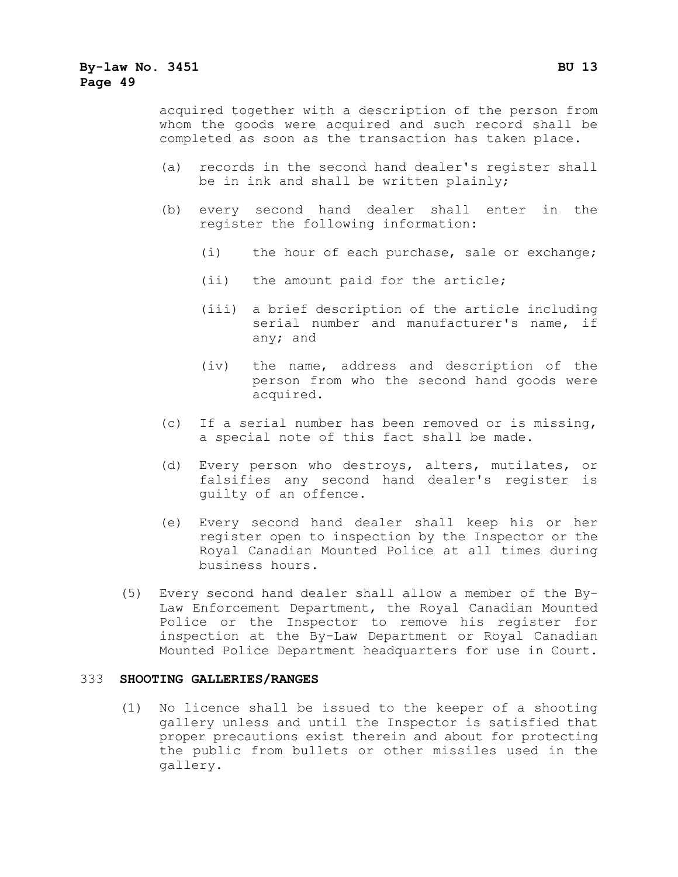acquired together with a description of the person from whom the goods were acquired and such record shall be completed as soon as the transaction has taken place.

- (a) records in the second hand dealer's register shall be in ink and shall be written plainly;
- (b) every second hand dealer shall enter in the register the following information:
	- (i) the hour of each purchase, sale or exchange;
	- (ii) the amount paid for the article;
	- (iii) a brief description of the article including serial number and manufacturer's name, if any; and
	- (iv) the name, address and description of the person from who the second hand goods were acquired.
- (c) If a serial number has been removed or is missing, a special note of this fact shall be made.
- (d) Every person who destroys, alters, mutilates, or falsifies any second hand dealer's register is guilty of an offence.
- (e) Every second hand dealer shall keep his or her register open to inspection by the Inspector or the Royal Canadian Mounted Police at all times during business hours.
- (5) Every second hand dealer shall allow a member of the By-Law Enforcement Department, the Royal Canadian Mounted Police or the Inspector to remove his register for inspection at the By-Law Department or Royal Canadian Mounted Police Department headquarters for use in Court.

#### 333 **SHOOTING GALLERIES/RANGES**

(1) No licence shall be issued to the keeper of a shooting gallery unless and until the Inspector is satisfied that proper precautions exist therein and about for protecting the public from bullets or other missiles used in the gallery.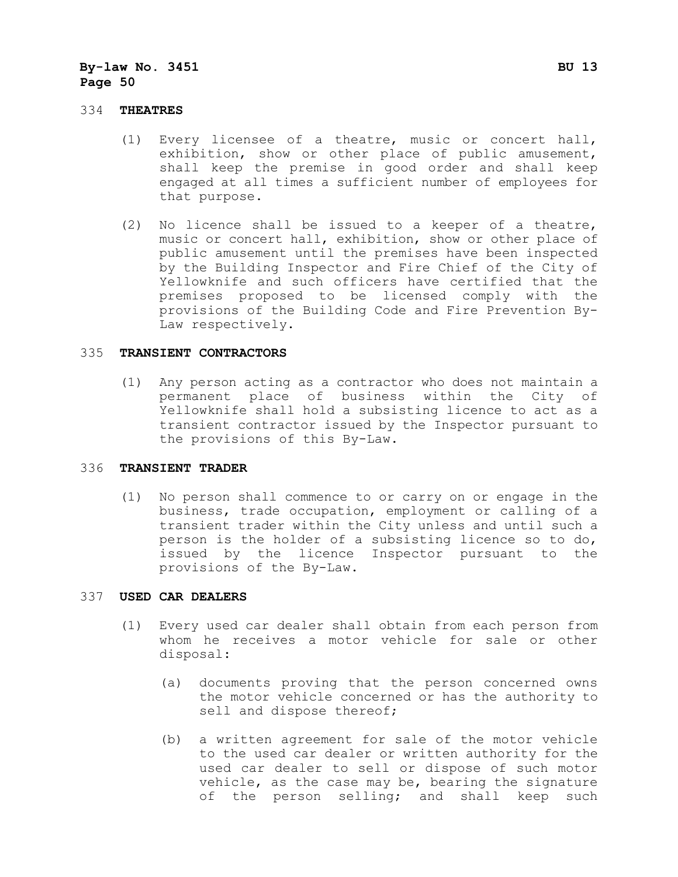#### 334 **THEATRES**

- (1) Every licensee of a theatre, music or concert hall, exhibition, show or other place of public amusement, shall keep the premise in good order and shall keep engaged at all times a sufficient number of employees for that purpose.
- (2) No licence shall be issued to a keeper of a theatre, music or concert hall, exhibition, show or other place of public amusement until the premises have been inspected by the Building Inspector and Fire Chief of the City of Yellowknife and such officers have certified that the premises proposed to be licensed comply with the provisions of the Building Code and Fire Prevention By-Law respectively.

#### 335 **TRANSIENT CONTRACTORS**

(1) Any person acting as a contractor who does not maintain a permanent place of business within the City of Yellowknife shall hold a subsisting licence to act as a transient contractor issued by the Inspector pursuant to the provisions of this By-Law.

#### 336 **TRANSIENT TRADER**

(1) No person shall commence to or carry on or engage in the business, trade occupation, employment or calling of a transient trader within the City unless and until such a person is the holder of a subsisting licence so to do, issued by the licence Inspector pursuant to the provisions of the By-Law.

#### 337 **USED CAR DEALERS**

- (1) Every used car dealer shall obtain from each person from whom he receives a motor vehicle for sale or other disposal:
	- (a) documents proving that the person concerned owns the motor vehicle concerned or has the authority to sell and dispose thereof;
	- (b) a written agreement for sale of the motor vehicle to the used car dealer or written authority for the used car dealer to sell or dispose of such motor vehicle, as the case may be, bearing the signature of the person selling; and shall keep such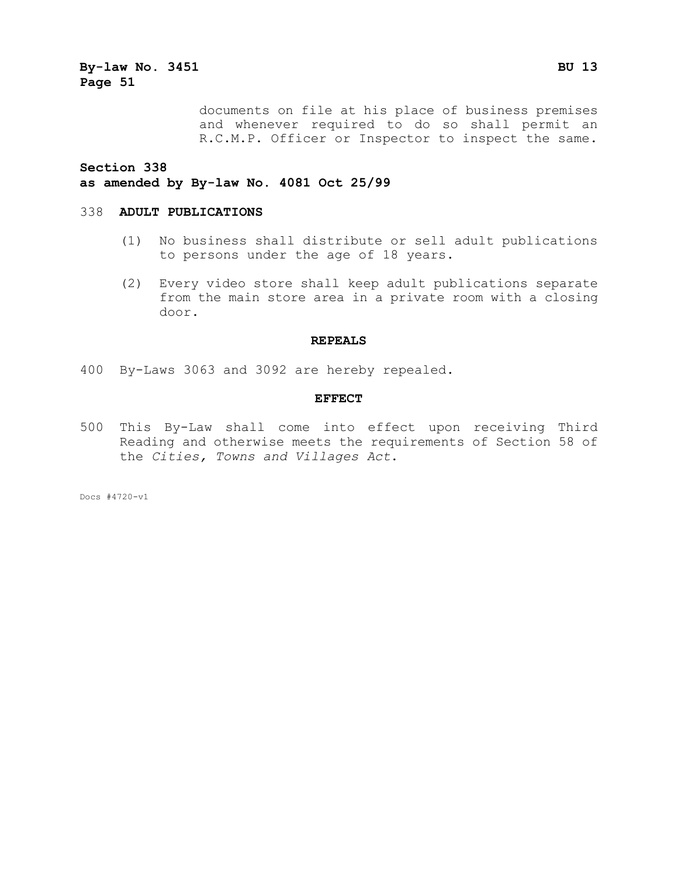> documents on file at his place of business premises and whenever required to do so shall permit an R.C.M.P. Officer or Inspector to inspect the same.

**Section 338**

#### **as amended by By-law No. 4081 Oct 25/99**

#### 338 **ADULT PUBLICATIONS**

- (1) No business shall distribute or sell adult publications to persons under the age of 18 years.
- (2) Every video store shall keep adult publications separate from the main store area in a private room with a closing door.

#### **REPEALS**

400 By-Laws 3063 and 3092 are hereby repealed.

#### **EFFECT**

500 This By-Law shall come into effect upon receiving Third Reading and otherwise meets the requirements of Section 58 of the *Cities, Towns and Villages Act*.

Docs #4720-v1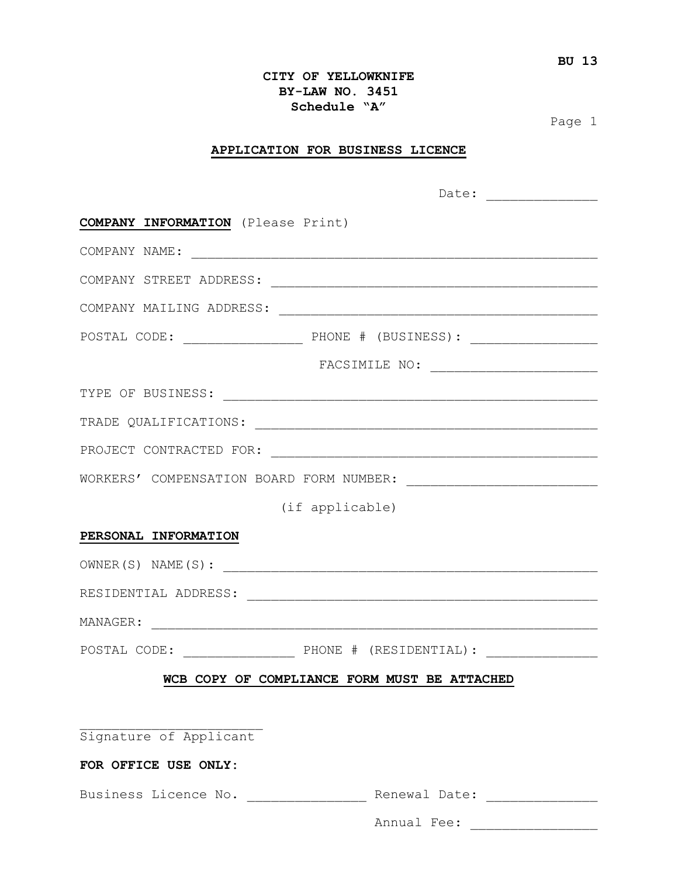#### **CITY OF YELLOWKNIFE BY-LAW NO. 3451 Schedule "A"**

Page 1

#### **APPLICATION FOR BUSINESS LICENCE**

|                                            | Date: $\qquad \qquad$    |  |
|--------------------------------------------|--------------------------|--|
| <b>COMPANY INFORMATION</b> (Please Print)  |                          |  |
|                                            |                          |  |
|                                            |                          |  |
|                                            |                          |  |
|                                            |                          |  |
|                                            |                          |  |
|                                            |                          |  |
|                                            |                          |  |
|                                            |                          |  |
|                                            |                          |  |
| (if applicable)                            |                          |  |
| PERSONAL INFORMATION                       |                          |  |
|                                            |                          |  |
|                                            |                          |  |
|                                            |                          |  |
|                                            |                          |  |
| B COPY OF COMPLIANCE FORM MUST BE ATTACHED |                          |  |
|                                            |                          |  |
| Signature of Applicant                     |                          |  |
| FOR OFFICE USE ONLY:                       |                          |  |
| Business Licence No. ________________      | Renewal Date: __________ |  |
|                                            |                          |  |
|                                            |                          |  |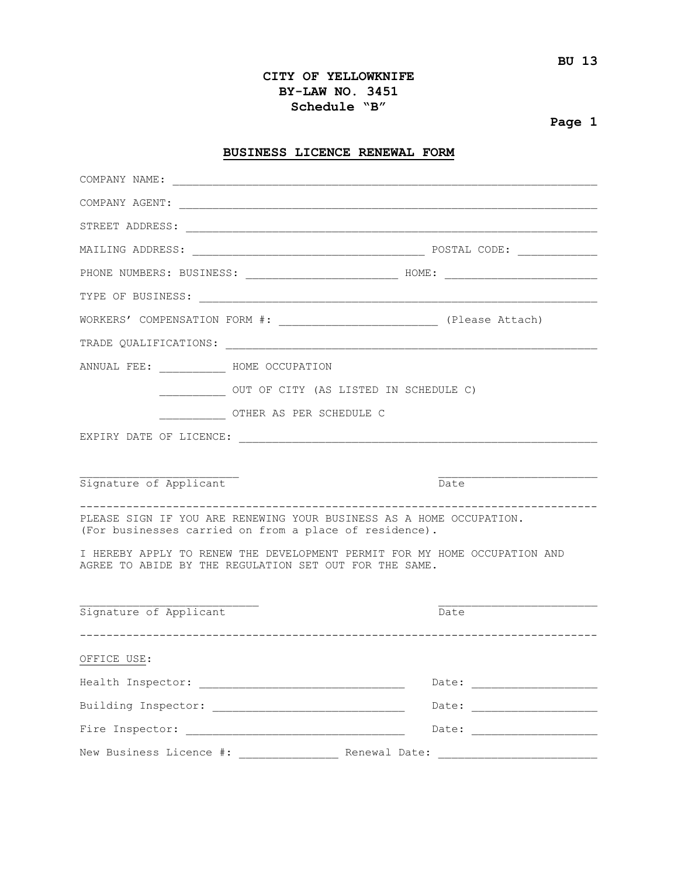#### **CITY OF YELLOWKNIFE BY-LAW NO. 3451 Schedule "B"**

### **Page 1**

#### **BUSINESS LICENCE RENEWAL FORM**

| COMPANY NAME:                    |                                                                                                                               |                                                                                  |
|----------------------------------|-------------------------------------------------------------------------------------------------------------------------------|----------------------------------------------------------------------------------|
|                                  |                                                                                                                               |                                                                                  |
|                                  |                                                                                                                               |                                                                                  |
|                                  |                                                                                                                               |                                                                                  |
|                                  |                                                                                                                               |                                                                                  |
|                                  |                                                                                                                               |                                                                                  |
|                                  |                                                                                                                               | WORKERS' COMPENSATION FORM #: _________________________________ (Please Attach)  |
|                                  |                                                                                                                               |                                                                                  |
| ANNUAL FEE: ____ HOME OCCUPATION |                                                                                                                               |                                                                                  |
|                                  | _____________ OUT OF CITY (AS LISTED IN SCHEDULE C)                                                                           |                                                                                  |
|                                  | OTHER AS PER SCHEDULE C                                                                                                       |                                                                                  |
|                                  |                                                                                                                               |                                                                                  |
|                                  |                                                                                                                               |                                                                                  |
| Signature of Applicant           |                                                                                                                               | Date                                                                             |
|                                  | PLEASE SIGN IF YOU ARE RENEWING YOUR BUSINESS AS A HOME OCCUPATION.<br>(For businesses carried on from a place of residence). |                                                                                  |
|                                  | AGREE TO ABIDE BY THE REGULATION SET OUT FOR THE SAME.                                                                        | I HEREBY APPLY TO RENEW THE DEVELOPMENT PERMIT FOR MY HOME OCCUPATION AND        |
|                                  |                                                                                                                               |                                                                                  |
| Signature of Applicant           |                                                                                                                               | Date                                                                             |
| OFFICE USE:                      |                                                                                                                               |                                                                                  |
|                                  |                                                                                                                               |                                                                                  |
|                                  |                                                                                                                               |                                                                                  |
|                                  |                                                                                                                               |                                                                                  |
|                                  |                                                                                                                               | New Business Licence #: _________________ Renewal Date: ________________________ |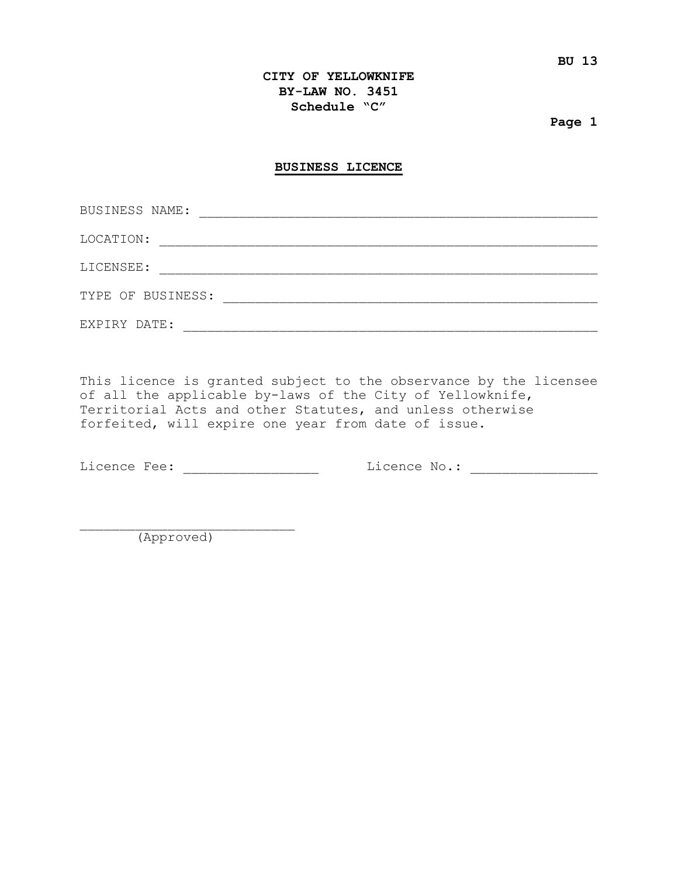#### **CITY OF YELLOWKNIFE BY-LAW NO. 3451 Schedule "C"**

**Page 1**

#### **BUSINESS LICENCE**

| BUSINESS NAME:    |  |
|-------------------|--|
| LOCATION:         |  |
| LICENSEE:         |  |
| TYPE OF BUSINESS: |  |
|                   |  |
| EXPIRY DATE:      |  |

This licence is granted subject to the observance by the licensee of all the applicable by-laws of the City of Yellowknife, Territorial Acts and other Statutes, and unless otherwise forfeited, will expire one year from date of issue.

Licence Fee: \_\_\_\_\_\_\_\_\_\_\_\_\_\_\_\_\_\_\_\_ Licence No.: \_\_\_\_\_\_\_\_\_\_\_\_\_\_\_\_\_\_\_\_\_\_\_\_\_\_\_\_\_\_\_\_\_\_

\_\_\_\_\_\_\_\_\_\_\_\_\_\_\_\_\_\_\_\_\_\_\_\_\_\_\_ (Approved)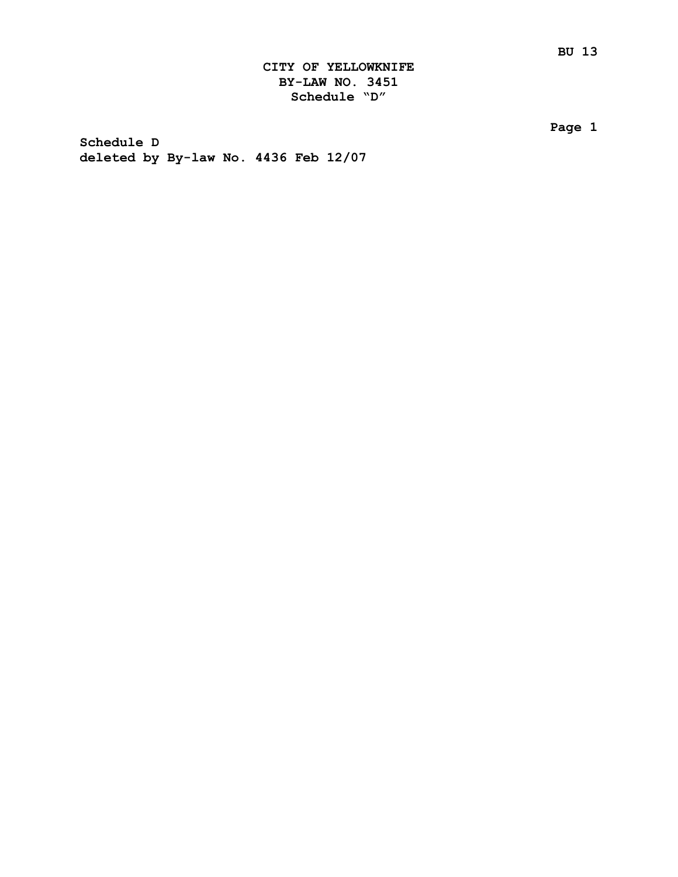**Page 1**

**Schedule D deleted by By-law No. 4436 Feb 12/07**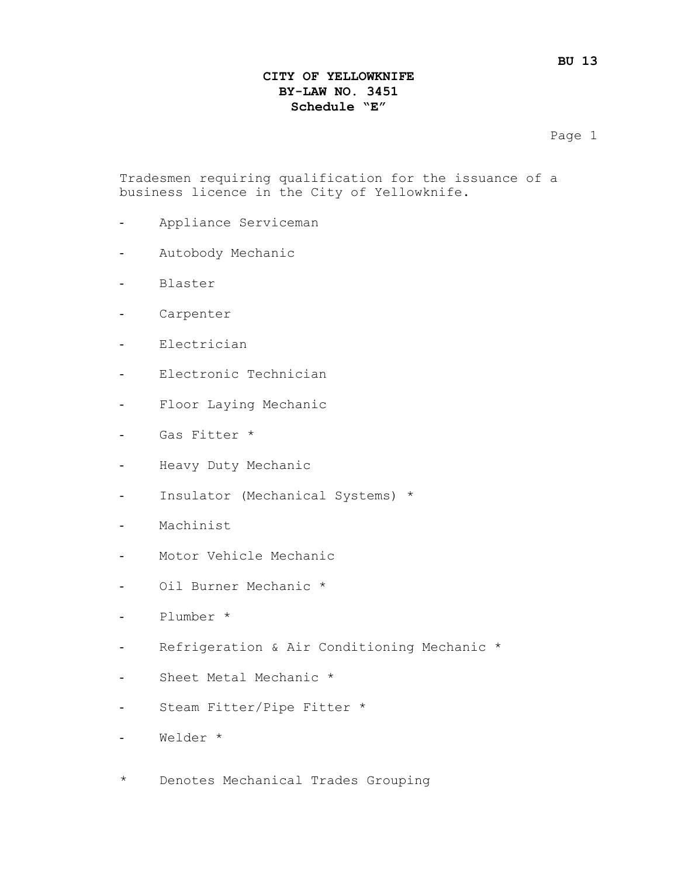#### **CITY OF YELLOWKNIFE BY-LAW NO. 3451 Schedule "E"**

Page 1

Tradesmen requiring qualification for the issuance of a business licence in the City of Yellowknife.

- Appliance Serviceman
- Autobody Mechanic
- Blaster
- Carpenter
- Electrician
- Electronic Technician
- Floor Laying Mechanic
- Gas Fitter \*
- Heavy Duty Mechanic
- Insulator (Mechanical Systems) \*
- Machinist
- Motor Vehicle Mechanic
- Oil Burner Mechanic \*
- Plumber \*
- Refrigeration & Air Conditioning Mechanic \*
- Sheet Metal Mechanic \*
- Steam Fitter/Pipe Fitter \*
- Welder \*
- \* Denotes Mechanical Trades Grouping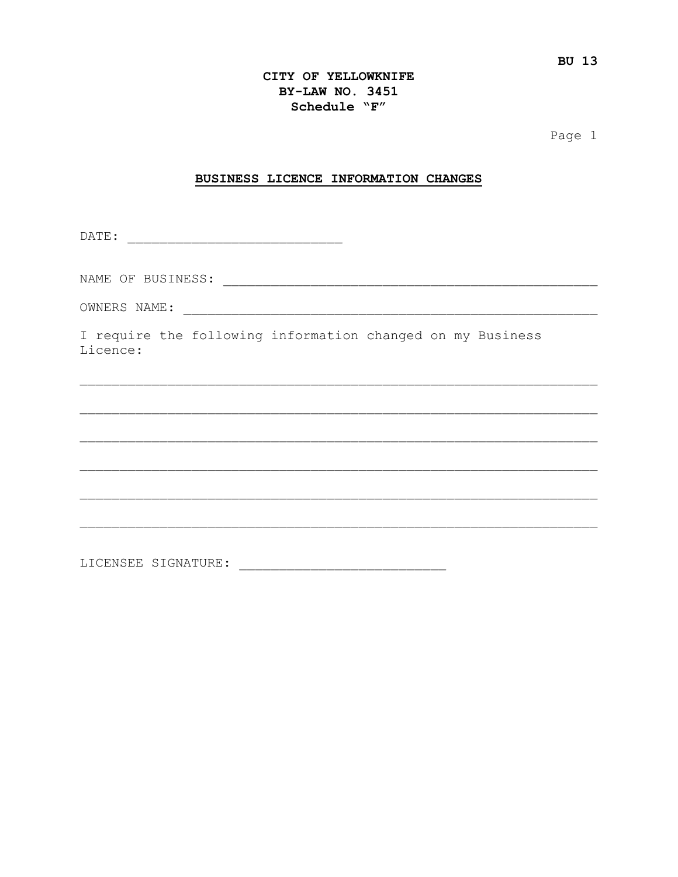#### CITY OF YELLOWKNIFE BY-LAW NO. 3451 Schedule "F"

Page 1

#### BUSINESS LICENCE INFORMATION CHANGES

I require the following information changed on my Business Licence: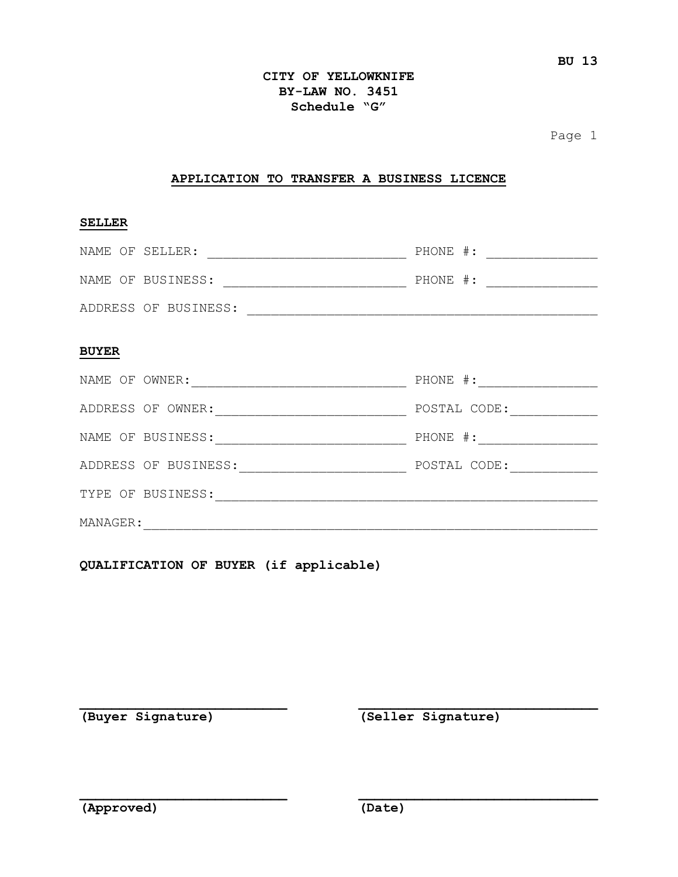#### **CITY OF YELLOWKNIFE BY-LAW NO. 3451 Schedule "G"**

Page 1

#### **APPLICATION TO TRANSFER A BUSINESS LICENCE**

#### **SELLER**

| NAME OF SELLER:      | $PHONE$ #: |
|----------------------|------------|
| NAME OF BUSINESS:    | $PHONE$ #: |
| ADDRESS OF BUSINESS: |            |

#### **BUYER**

| NAME OF OWNER: |                      | PHONE #:     |
|----------------|----------------------|--------------|
|                | ADDRESS OF OWNER:    | POSTAL CODE: |
|                | NAME OF BUSINESS:    | $PHONE$ #:   |
|                | ADDRESS OF BUSINESS: | POSTAL CODE: |
|                | TYPE OF BUSINESS:    |              |
| MANAGER:       |                      |              |

**\_\_\_\_\_\_\_\_\_\_\_\_\_\_\_\_\_\_\_\_\_\_\_\_\_\_ \_\_\_\_\_\_\_\_\_\_\_\_\_\_\_\_\_\_\_\_\_\_\_\_\_\_\_\_\_\_**

**\_\_\_\_\_\_\_\_\_\_\_\_\_\_\_\_\_\_\_\_\_\_\_\_\_\_ \_\_\_\_\_\_\_\_\_\_\_\_\_\_\_\_\_\_\_\_\_\_\_\_\_\_\_\_\_\_**

**QUALIFICATION OF BUYER (if applicable)**

**(Buyer Signature) (Seller Signature)**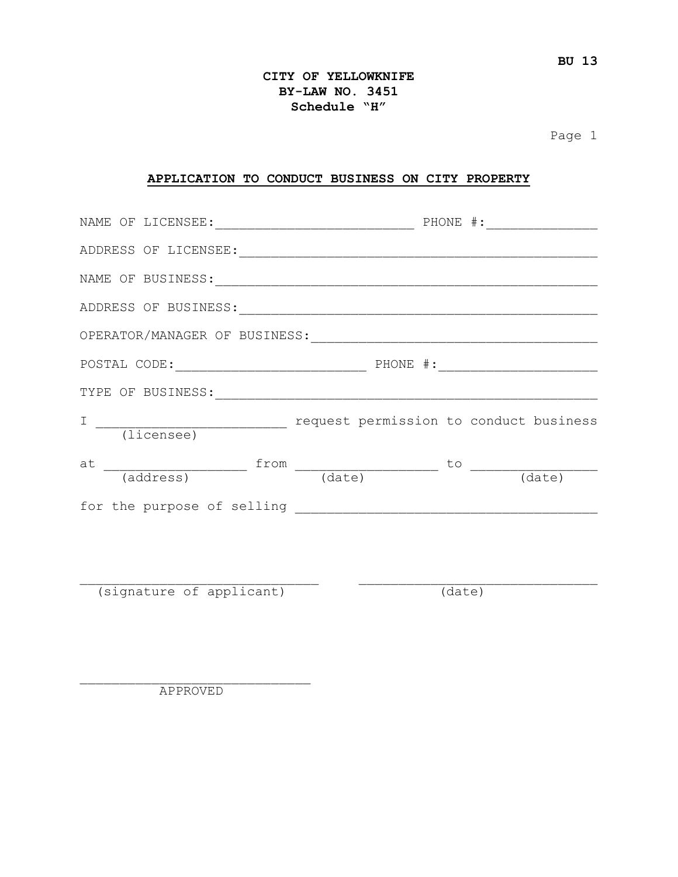#### **CITY OF YELLOWKNIFE BY-LAW NO. 3451 Schedule "H"**

Page 1

#### **APPLICATION TO CONDUCT BUSINESS ON CITY PROPERTY**

| NAME OF BUSINESS: NAME OF BUSINESS:                                                |  |        |
|------------------------------------------------------------------------------------|--|--------|
|                                                                                    |  |        |
|                                                                                    |  |        |
| $\tt{POSTAL CODE: ___________$                                                     |  |        |
|                                                                                    |  |        |
|                                                                                    |  |        |
| $at$ $\frac{1}{(address)}$ $\frac{from (date)}{(date)}$ $\frac{to (date)}{(date)}$ |  |        |
|                                                                                    |  |        |
|                                                                                    |  |        |
|                                                                                    |  |        |
| (signature of applicant)                                                           |  | (date) |

\_\_\_\_\_\_\_\_\_\_\_\_\_\_\_\_\_\_\_\_\_\_\_\_\_\_\_\_\_ APPROVED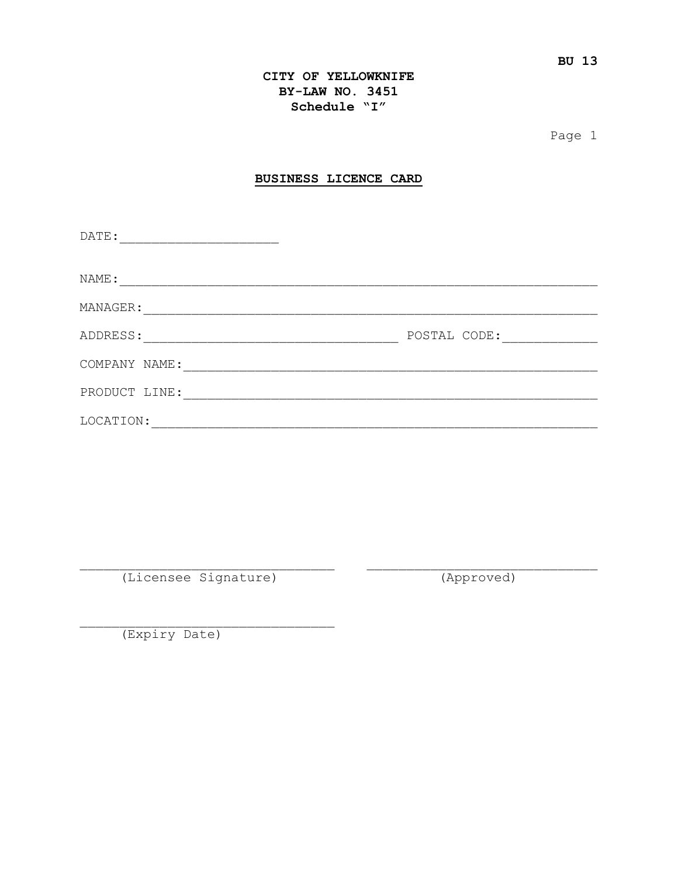#### CITY OF YELLOWKNIFE BY-LAW NO. 3451 Schedule "I"

Page 1

#### BUSINESS LICENCE CARD

| DATE:         |              |
|---------------|--------------|
| NAME:         |              |
| MANAGER:      |              |
| ADDRESS:      | POSTAL CODE: |
| COMPANY NAME: |              |
| PRODUCT LINE: |              |
| LOCATION:     |              |

(Licensee Signature)

(Approved)

(Expiry Date)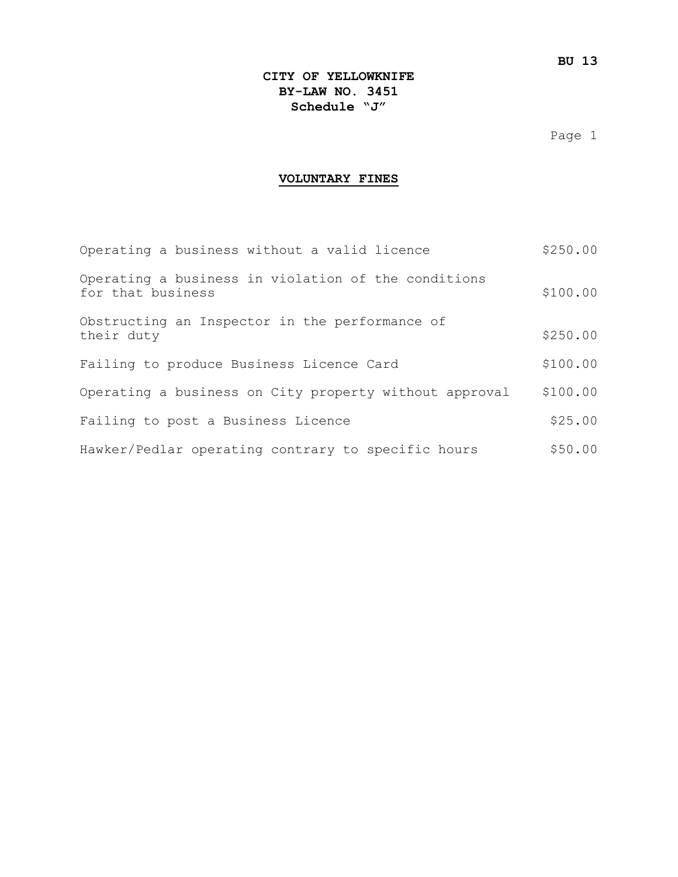Page 1

#### **VOLUNTARY FINES**

| Operating a business without a valid licence                             | \$250.00 |
|--------------------------------------------------------------------------|----------|
| Operating a business in violation of the conditions<br>for that business | \$100.00 |
| Obstructing an Inspector in the performance of<br>their duty             | \$250.00 |
| Failing to produce Business Licence Card                                 | \$100.00 |
| Operating a business on City property without approval                   | \$100.00 |
| Failing to post a Business Licence                                       | \$25.00  |
| Hawker/Pedlar operating contrary to specific hours                       | \$50.00  |